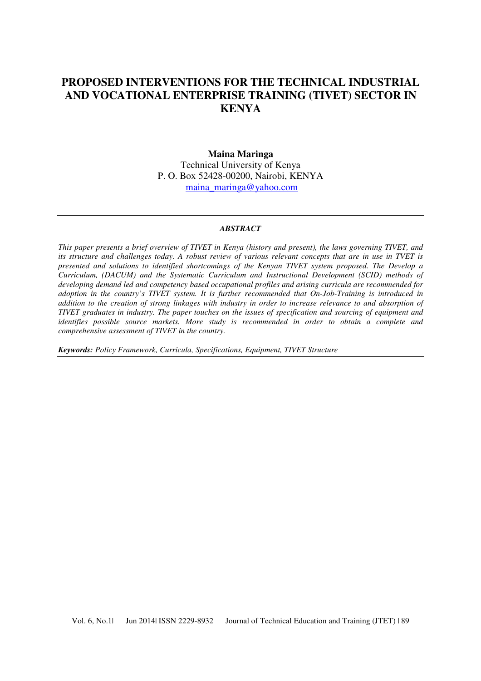# **PROPOSED INTERVENTIONS FOR THE TECHNICAL INDUSTRIAL AND VOCATIONAL ENTERPRISE TRAINING (TIVET) SECTOR IN KENYA**

#### **Maina Maringa**

Technical University of Kenya P. O. Box 52428-00200, Nairobi, KENYA maina\_maringa@yahoo.com

#### *ABSTRACT*

*This paper presents a brief overview of TIVET in Kenya (history and present), the laws governing TIVET, and its structure and challenges today. A robust review of various relevant concepts that are in use in TVET is presented and solutions to identified shortcomings of the Kenyan TIVET system proposed. The Develop a Curriculum, (DACUM) and the Systematic Curriculum and Instructional Development (SCID) methods of developing demand led and competency based occupational profiles and arising curricula are recommended for adoption in the country's TIVET system. It is further recommended that On-Job-Training is introduced in addition to the creation of strong linkages with industry in order to increase relevance to and absorption of TIVET graduates in industry. The paper touches on the issues of specification and sourcing of equipment and identifies possible source markets. More study is recommended in order to obtain a complete and comprehensive assessment of TIVET in the country.* 

*Keywords: Policy Framework, Curricula, Specifications, Equipment, TIVET Structure*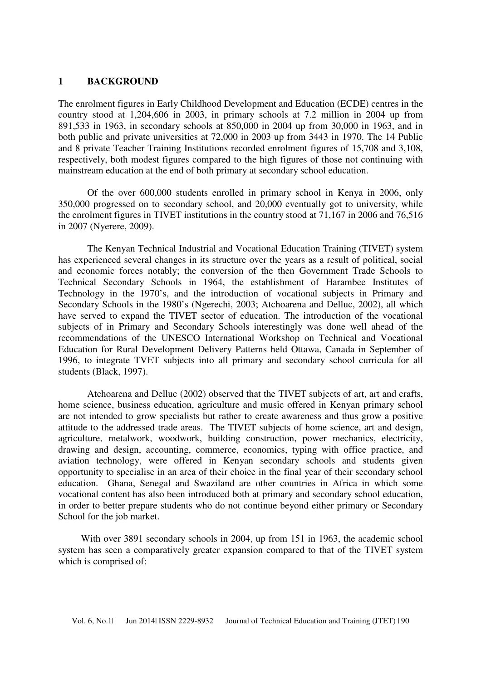#### **1 BACKGROUND**

The enrolment figures in Early Childhood Development and Education (ECDE) centres in the country stood at 1,204,606 in 2003, in primary schools at 7.2 million in 2004 up from 891,533 in 1963, in secondary schools at 850,000 in 2004 up from 30,000 in 1963, and in both public and private universities at 72,000 in 2003 up from 3443 in 1970. The 14 Public and 8 private Teacher Training Institutions recorded enrolment figures of 15,708 and 3,108, respectively, both modest figures compared to the high figures of those not continuing with mainstream education at the end of both primary at secondary school education.

Of the over 600,000 students enrolled in primary school in Kenya in 2006, only 350,000 progressed on to secondary school, and 20,000 eventually got to university, while the enrolment figures in TIVET institutions in the country stood at 71,167 in 2006 and 76,516 in 2007 (Nyerere, 2009).

The Kenyan Technical Industrial and Vocational Education Training (TIVET) system has experienced several changes in its structure over the years as a result of political, social and economic forces notably; the conversion of the then Government Trade Schools to Technical Secondary Schools in 1964, the establishment of Harambee Institutes of Technology in the 1970's, and the introduction of vocational subjects in Primary and Secondary Schools in the 1980's (Ngerechi, 2003; Atchoarena and Delluc, 2002), all which have served to expand the TIVET sector of education. The introduction of the vocational subjects of in Primary and Secondary Schools interestingly was done well ahead of the recommendations of the UNESCO International Workshop on Technical and Vocational Education for Rural Development Delivery Patterns held Ottawa, Canada in September of 1996, to integrate TVET subjects into all primary and secondary school curricula for all students (Black, 1997).

Atchoarena and Delluc (2002) observed that the TIVET subjects of art, art and crafts, home science, business education, agriculture and music offered in Kenyan primary school are not intended to grow specialists but rather to create awareness and thus grow a positive attitude to the addressed trade areas. The TIVET subjects of home science, art and design, agriculture, metalwork, woodwork, building construction, power mechanics, electricity, drawing and design, accounting, commerce, economics, typing with office practice, and aviation technology, were offered in Kenyan secondary schools and students given opportunity to specialise in an area of their choice in the final year of their secondary school education. Ghana, Senegal and Swaziland are other countries in Africa in which some vocational content has also been introduced both at primary and secondary school education, in order to better prepare students who do not continue beyond either primary or Secondary School for the job market.

With over 3891 secondary schools in 2004, up from 151 in 1963, the academic school system has seen a comparatively greater expansion compared to that of the TIVET system which is comprised of: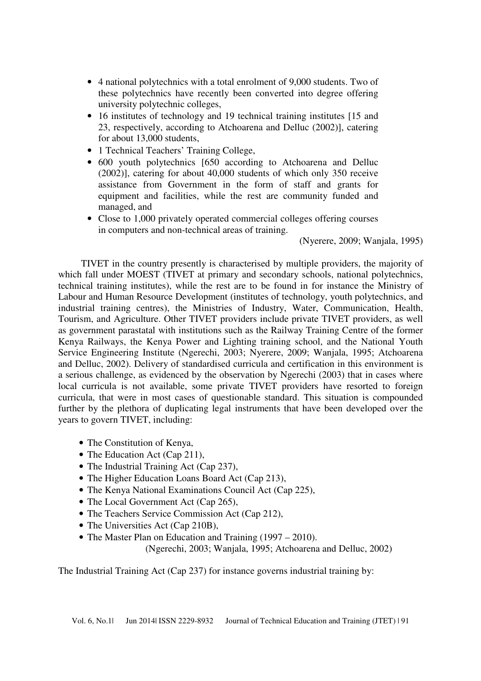- 4 national polytechnics with a total enrolment of 9,000 students. Two of these polytechnics have recently been converted into degree offering university polytechnic colleges,
- 16 institutes of technology and 19 technical training institutes [15 and 23, respectively, according to Atchoarena and Delluc (2002)], catering for about 13,000 students,
- 1 Technical Teachers' Training College,
- 600 youth polytechnics [650 according to Atchoarena and Delluc (2002)], catering for about 40,000 students of which only 350 receive assistance from Government in the form of staff and grants for equipment and facilities, while the rest are community funded and managed, and
- Close to 1,000 privately operated commercial colleges offering courses in computers and non-technical areas of training.

(Nyerere, 2009; Wanjala, 1995)

TIVET in the country presently is characterised by multiple providers, the majority of which fall under MOEST (TIVET at primary and secondary schools, national polytechnics, technical training institutes), while the rest are to be found in for instance the Ministry of Labour and Human Resource Development (institutes of technology, youth polytechnics, and industrial training centres), the Ministries of Industry, Water, Communication, Health, Tourism, and Agriculture. Other TIVET providers include private TIVET providers, as well as government parastatal with institutions such as the Railway Training Centre of the former Kenya Railways, the Kenya Power and Lighting training school, and the National Youth Service Engineering Institute (Ngerechi, 2003; Nyerere, 2009; Wanjala, 1995; Atchoarena and Delluc, 2002). Delivery of standardised curricula and certification in this environment is a serious challenge, as evidenced by the observation by Ngerechi (2003) that in cases where local curricula is not available, some private TIVET providers have resorted to foreign curricula, that were in most cases of questionable standard. This situation is compounded further by the plethora of duplicating legal instruments that have been developed over the years to govern TIVET, including:

- The Constitution of Kenya,
- The Education Act (Cap 211),
- The Industrial Training Act (Cap 237),
- The Higher Education Loans Board Act (Cap 213),
- The Kenya National Examinations Council Act (Cap 225),
- The Local Government Act (Cap 265),
- The Teachers Service Commission Act (Cap 212),
- The Universities Act (Cap 210B),
- The Master Plan on Education and Training (1997 2010).

(Ngerechi, 2003; Wanjala, 1995; Atchoarena and Delluc, 2002)

The Industrial Training Act (Cap 237) for instance governs industrial training by: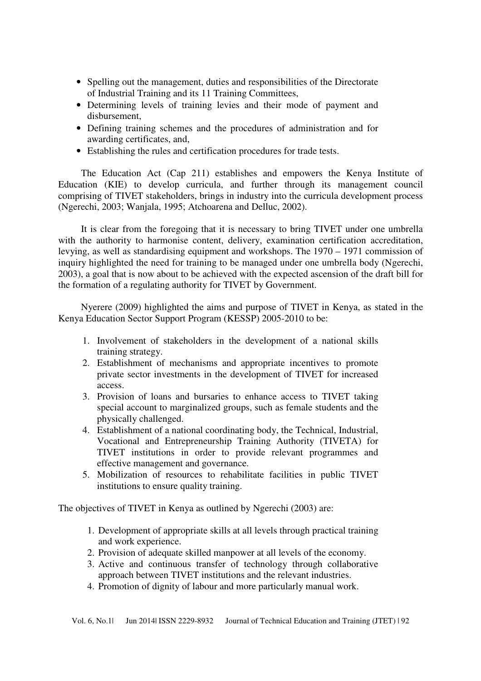- Spelling out the management, duties and responsibilities of the Directorate of Industrial Training and its 11 Training Committees,
- Determining levels of training levies and their mode of payment and disbursement,
- Defining training schemes and the procedures of administration and for awarding certificates, and,
- Establishing the rules and certification procedures for trade tests.

The Education Act (Cap 211) establishes and empowers the Kenya Institute of Education (KIE) to develop curricula, and further through its management council comprising of TIVET stakeholders, brings in industry into the curricula development process (Ngerechi, 2003; Wanjala, 1995; Atchoarena and Delluc, 2002).

It is clear from the foregoing that it is necessary to bring TIVET under one umbrella with the authority to harmonise content, delivery, examination certification accreditation, levying, as well as standardising equipment and workshops. The 1970 – 1971 commission of inquiry highlighted the need for training to be managed under one umbrella body (Ngerechi, 2003), a goal that is now about to be achieved with the expected ascension of the draft bill for the formation of a regulating authority for TIVET by Government.

Nyerere (2009) highlighted the aims and purpose of TIVET in Kenya, as stated in the Kenya Education Sector Support Program (KESSP) 2005-2010 to be:

- 1. Involvement of stakeholders in the development of a national skills training strategy.
- 2. Establishment of mechanisms and appropriate incentives to promote private sector investments in the development of TIVET for increased access.
- 3. Provision of loans and bursaries to enhance access to TIVET taking special account to marginalized groups, such as female students and the physically challenged.
- 4. Establishment of a national coordinating body, the Technical, Industrial, Vocational and Entrepreneurship Training Authority (TIVETA) for TIVET institutions in order to provide relevant programmes and effective management and governance.
- 5. Mobilization of resources to rehabilitate facilities in public TIVET institutions to ensure quality training.

The objectives of TIVET in Kenya as outlined by Ngerechi (2003) are:

- 1. Development of appropriate skills at all levels through practical training and work experience.
- 2. Provision of adequate skilled manpower at all levels of the economy.
- 3. Active and continuous transfer of technology through collaborative approach between TIVET institutions and the relevant industries.
- 4. Promotion of dignity of labour and more particularly manual work.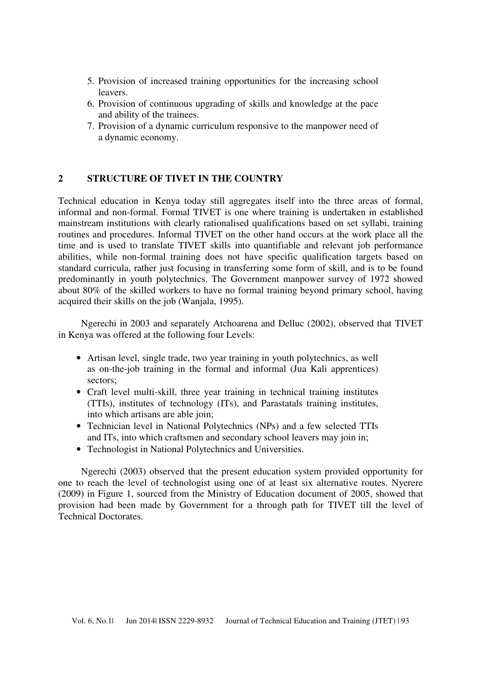- 5. Provision of increased training opportunities for the increasing school leavers.
- 6. Provision of continuous upgrading of skills and knowledge at the pace and ability of the trainees.
- 7. Provision of a dynamic curriculum responsive to the manpower need of a dynamic economy.

### **2 STRUCTURE OF TIVET IN THE COUNTRY**

Technical education in Kenya today still aggregates itself into the three areas of formal, informal and non-formal. Formal TIVET is one where training is undertaken in established mainstream institutions with clearly rationalised qualifications based on set syllabi, training routines and procedures. Informal TIVET on the other hand occurs at the work place all the time and is used to translate TIVET skills into quantifiable and relevant job performance abilities, while non-formal training does not have specific qualification targets based on standard curricula, rather just focusing in transferring some form of skill, and is to be found predominantly in youth polytechnics. The Government manpower survey of 1972 showed about 80% of the skilled workers to have no formal training beyond primary school, having acquired their skills on the job (Wanjala, 1995).

Ngerechi in 2003 and separately Atchoarena and Delluc (2002), observed that TIVET in Kenya was offered at the following four Levels:

- Artisan level, single trade, two year training in youth polytechnics, as well as on-the-job training in the formal and informal (Jua Kali apprentices) sectors;
- Craft level multi-skill, three year training in technical training institutes (TTIs), institutes of technology (ITs), and Parastatals training institutes, into which artisans are able join;
- Technician level in National Polytechnics (NPs) and a few selected TTIs and ITs, into which craftsmen and secondary school leavers may join in;
- Technologist in National Polytechnics and Universities.

Ngerechi (2003) observed that the present education system provided opportunity for one to reach the level of technologist using one of at least six alternative routes. Nyerere (2009) in Figure 1, sourced from the Ministry of Education document of 2005, showed that provision had been made by Government for a through path for TIVET till the level of Technical Doctorates.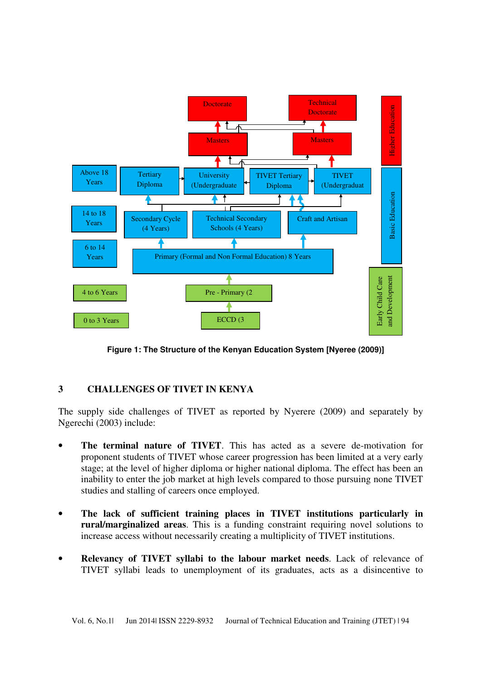

**Figure 1: The Structure of the Kenyan Education System [Nyeree (2009)]**

## **3 CHALLENGES OF TIVET IN KENYA**

The supply side challenges of TIVET as reported by Nyerere (2009) and separately by Ngerechi (2003) include:

- **The terminal nature of TIVET**. This has acted as a severe de-motivation for proponent students of TIVET whose career progression has been limited at a very early stage; at the level of higher diploma or higher national diploma. The effect has been an inability to enter the job market at high levels compared to those pursuing none TIVET studies and stalling of careers once employed.
- **The lack of sufficient training places in TIVET institutions particularly in rural/marginalized areas**. This is a funding constraint requiring novel solutions to increase access without necessarily creating a multiplicity of TIVET institutions.
- **Relevancy of TIVET syllabi to the labour market needs**. Lack of relevance of TIVET syllabi leads to unemployment of its graduates, acts as a disincentive to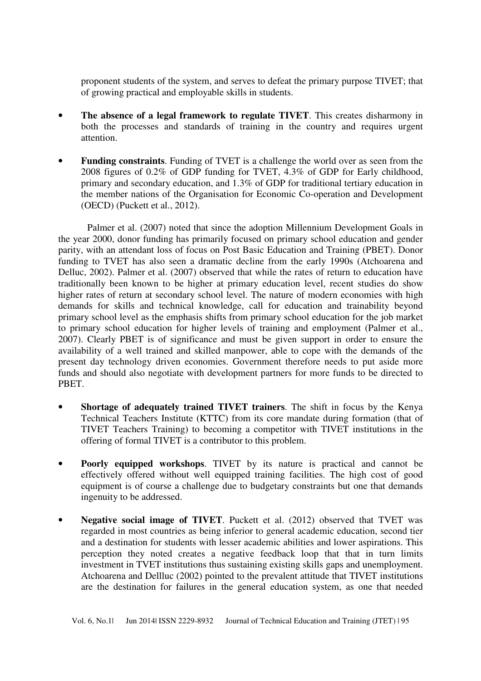proponent students of the system, and serves to defeat the primary purpose TIVET; that of growing practical and employable skills in students.

- **The absence of a legal framework to regulate TIVET**. This creates disharmony in both the processes and standards of training in the country and requires urgent attention.
- **Funding constraints**. Funding of TVET is a challenge the world over as seen from the 2008 figures of 0.2% of GDP funding for TVET, 4.3% of GDP for Early childhood, primary and secondary education, and 1.3% of GDP for traditional tertiary education in the member nations of the Organisation for Economic Co-operation and Development (OECD) (Puckett et al., 2012).

Palmer et al. (2007) noted that since the adoption Millennium Development Goals in the year 2000, donor funding has primarily focused on primary school education and gender parity, with an attendant loss of focus on Post Basic Education and Training (PBET). Donor funding to TVET has also seen a dramatic decline from the early 1990s (Atchoarena and Delluc, 2002). Palmer et al. (2007) observed that while the rates of return to education have traditionally been known to be higher at primary education level, recent studies do show higher rates of return at secondary school level. The nature of modern economies with high demands for skills and technical knowledge, call for education and trainability beyond primary school level as the emphasis shifts from primary school education for the job market to primary school education for higher levels of training and employment (Palmer et al., 2007). Clearly PBET is of significance and must be given support in order to ensure the availability of a well trained and skilled manpower, able to cope with the demands of the present day technology driven economies. Government therefore needs to put aside more funds and should also negotiate with development partners for more funds to be directed to PBET.

- **Shortage of adequately trained TIVET trainers**. The shift in focus by the Kenya Technical Teachers Institute (KTTC) from its core mandate during formation (that of TIVET Teachers Training) to becoming a competitor with TIVET institutions in the offering of formal TIVET is a contributor to this problem.
- **Poorly equipped workshops.** TIVET by its nature is practical and cannot be effectively offered without well equipped training facilities. The high cost of good equipment is of course a challenge due to budgetary constraints but one that demands ingenuity to be addressed.
- **Negative social image of TIVET**. Puckett et al. (2012) observed that TVET was regarded in most countries as being inferior to general academic education, second tier and a destination for students with lesser academic abilities and lower aspirations. This perception they noted creates a negative feedback loop that that in turn limits investment in TVET institutions thus sustaining existing skills gaps and unemployment. Atchoarena and Dellluc (2002) pointed to the prevalent attitude that TIVET institutions are the destination for failures in the general education system, as one that needed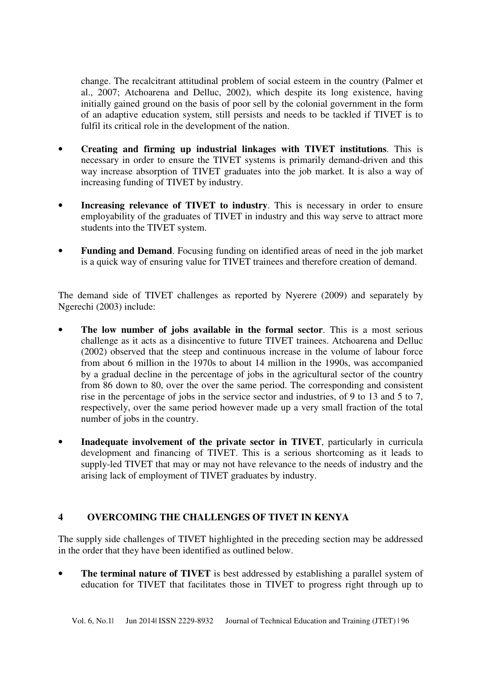change. The recalcitrant attitudinal problem of social esteem in the country (Palmer et al., 2007; Atchoarena and Delluc, 2002), which despite its long existence, having initially gained ground on the basis of poor sell by the colonial government in the form of an adaptive education system, still persists and needs to be tackled if TIVET is to fulfil its critical role in the development of the nation.

- **Creating and firming up industrial linkages with TIVET institutions**. This is necessary in order to ensure the TIVET systems is primarily demand-driven and this way increase absorption of TIVET graduates into the job market. It is also a way of increasing funding of TIVET by industry.
- **Increasing relevance of TIVET to industry.** This is necessary in order to ensure employability of the graduates of TIVET in industry and this way serve to attract more students into the TIVET system.
- **Funding and Demand.** Focusing funding on identified areas of need in the job market is a quick way of ensuring value for TIVET trainees and therefore creation of demand.

The demand side of TIVET challenges as reported by Nyerere (2009) and separately by Ngerechi (2003) include:

- **The low number of jobs available in the formal sector**. This is a most serious challenge as it acts as a disincentive to future TIVET trainees. Atchoarena and Delluc (2002) observed that the steep and continuous increase in the volume of labour force from about 6 million in the 1970s to about 14 million in the 1990s, was accompanied by a gradual decline in the percentage of jobs in the agricultural sector of the country from 86 down to 80, over the over the same period. The corresponding and consistent rise in the percentage of jobs in the service sector and industries, of 9 to 13 and 5 to 7, respectively, over the same period however made up a very small fraction of the total number of jobs in the country.
- **Inadequate involvement of the private sector in TIVET**, particularly in curricula development and financing of TIVET. This is a serious shortcoming as it leads to supply-led TIVET that may or may not have relevance to the needs of industry and the arising lack of employment of TIVET graduates by industry.

## **4 OVERCOMING THE CHALLENGES OF TIVET IN KENYA**

The supply side challenges of TIVET highlighted in the preceding section may be addressed in the order that they have been identified as outlined below.

**The terminal nature of TIVET** is best addressed by establishing a parallel system of education for TIVET that facilitates those in TIVET to progress right through up to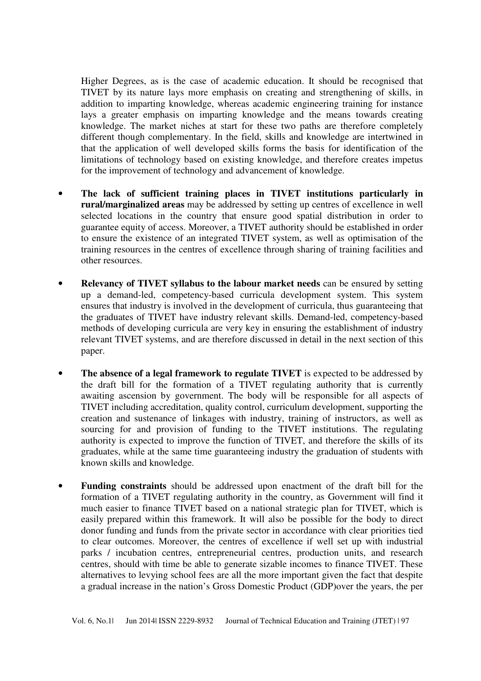Higher Degrees, as is the case of academic education. It should be recognised that TIVET by its nature lays more emphasis on creating and strengthening of skills, in addition to imparting knowledge, whereas academic engineering training for instance lays a greater emphasis on imparting knowledge and the means towards creating knowledge. The market niches at start for these two paths are therefore completely different though complementary. In the field, skills and knowledge are intertwined in that the application of well developed skills forms the basis for identification of the limitations of technology based on existing knowledge, and therefore creates impetus for the improvement of technology and advancement of knowledge.

- **The lack of sufficient training places in TIVET institutions particularly in rural/marginalized areas** may be addressed by setting up centres of excellence in well selected locations in the country that ensure good spatial distribution in order to guarantee equity of access. Moreover, a TIVET authority should be established in order to ensure the existence of an integrated TIVET system, as well as optimisation of the training resources in the centres of excellence through sharing of training facilities and other resources.
- **Relevancy of TIVET syllabus to the labour market needs** can be ensured by setting up a demand-led, competency-based curricula development system. This system ensures that industry is involved in the development of curricula, thus guaranteeing that the graduates of TIVET have industry relevant skills. Demand-led, competency-based methods of developing curricula are very key in ensuring the establishment of industry relevant TIVET systems, and are therefore discussed in detail in the next section of this paper.
- **The absence of a legal framework to regulate TIVET** is expected to be addressed by the draft bill for the formation of a TIVET regulating authority that is currently awaiting ascension by government. The body will be responsible for all aspects of TIVET including accreditation, quality control, curriculum development, supporting the creation and sustenance of linkages with industry, training of instructors, as well as sourcing for and provision of funding to the TIVET institutions. The regulating authority is expected to improve the function of TIVET, and therefore the skills of its graduates, while at the same time guaranteeing industry the graduation of students with known skills and knowledge.
- **Funding constraints** should be addressed upon enactment of the draft bill for the formation of a TIVET regulating authority in the country, as Government will find it much easier to finance TIVET based on a national strategic plan for TIVET, which is easily prepared within this framework. It will also be possible for the body to direct donor funding and funds from the private sector in accordance with clear priorities tied to clear outcomes. Moreover, the centres of excellence if well set up with industrial parks / incubation centres, entrepreneurial centres, production units, and research centres, should with time be able to generate sizable incomes to finance TIVET. These alternatives to levying school fees are all the more important given the fact that despite a gradual increase in the nation's Gross Domestic Product (GDP)over the years, the per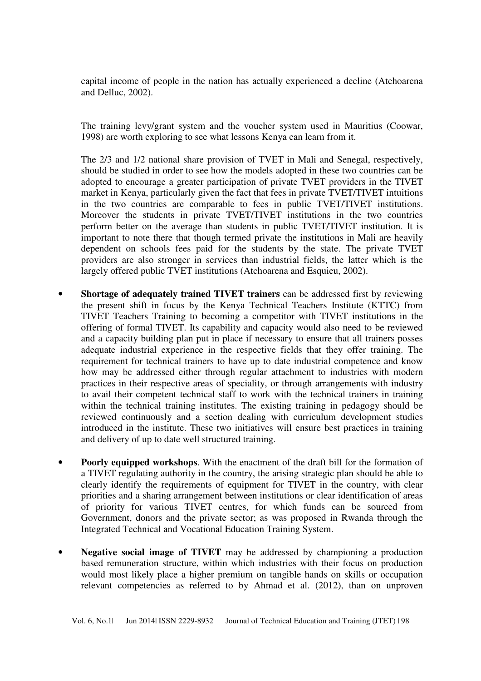capital income of people in the nation has actually experienced a decline (Atchoarena and Delluc, 2002).

The training levy/grant system and the voucher system used in Mauritius (Coowar, 1998) are worth exploring to see what lessons Kenya can learn from it.

The 2/3 and 1/2 national share provision of TVET in Mali and Senegal, respectively, should be studied in order to see how the models adopted in these two countries can be adopted to encourage a greater participation of private TVET providers in the TIVET market in Kenya, particularly given the fact that fees in private TVET/TIVET intuitions in the two countries are comparable to fees in public TVET/TIVET institutions. Moreover the students in private TVET/TIVET institutions in the two countries perform better on the average than students in public TVET/TIVET institution. It is important to note there that though termed private the institutions in Mali are heavily dependent on schools fees paid for the students by the state. The private TVET providers are also stronger in services than industrial fields, the latter which is the largely offered public TVET institutions (Atchoarena and Esquieu, 2002).

- **Shortage of adequately trained TIVET trainers** can be addressed first by reviewing the present shift in focus by the Kenya Technical Teachers Institute (KTTC) from TIVET Teachers Training to becoming a competitor with TIVET institutions in the offering of formal TIVET. Its capability and capacity would also need to be reviewed and a capacity building plan put in place if necessary to ensure that all trainers posses adequate industrial experience in the respective fields that they offer training. The requirement for technical trainers to have up to date industrial competence and know how may be addressed either through regular attachment to industries with modern practices in their respective areas of speciality, or through arrangements with industry to avail their competent technical staff to work with the technical trainers in training within the technical training institutes. The existing training in pedagogy should be reviewed continuously and a section dealing with curriculum development studies introduced in the institute. These two initiatives will ensure best practices in training and delivery of up to date well structured training.
- **Poorly equipped workshops**. With the enactment of the draft bill for the formation of a TIVET regulating authority in the country, the arising strategic plan should be able to clearly identify the requirements of equipment for TIVET in the country, with clear priorities and a sharing arrangement between institutions or clear identification of areas of priority for various TIVET centres, for which funds can be sourced from Government, donors and the private sector; as was proposed in Rwanda through the Integrated Technical and Vocational Education Training System.
- **Negative social image of TIVET** may be addressed by championing a production based remuneration structure, within which industries with their focus on production would most likely place a higher premium on tangible hands on skills or occupation relevant competencies as referred to by Ahmad et al. (2012), than on unproven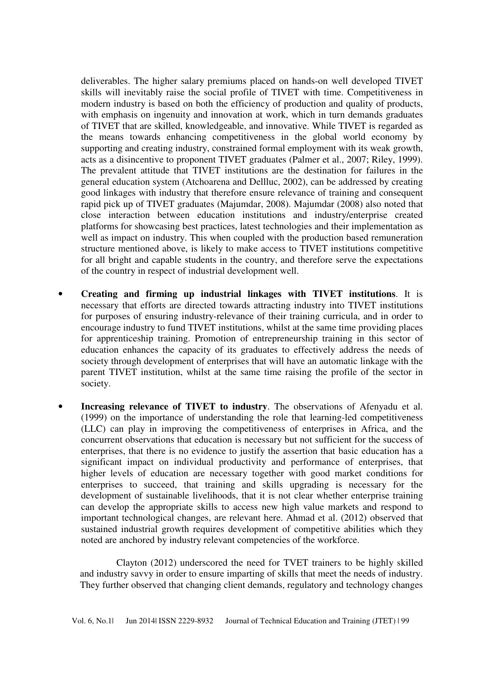deliverables. The higher salary premiums placed on hands-on well developed TIVET skills will inevitably raise the social profile of TIVET with time. Competitiveness in modern industry is based on both the efficiency of production and quality of products, with emphasis on ingenuity and innovation at work, which in turn demands graduates of TIVET that are skilled, knowledgeable, and innovative. While TIVET is regarded as the means towards enhancing competitiveness in the global world economy by supporting and creating industry, constrained formal employment with its weak growth, acts as a disincentive to proponent TIVET graduates (Palmer et al., 2007; Riley, 1999). The prevalent attitude that TIVET institutions are the destination for failures in the general education system (Atchoarena and Dellluc, 2002), can be addressed by creating good linkages with industry that therefore ensure relevance of training and consequent rapid pick up of TIVET graduates (Majumdar, 2008). Majumdar (2008) also noted that close interaction between education institutions and industry/enterprise created platforms for showcasing best practices, latest technologies and their implementation as well as impact on industry. This when coupled with the production based remuneration structure mentioned above, is likely to make access to TIVET institutions competitive for all bright and capable students in the country, and therefore serve the expectations of the country in respect of industrial development well.

- **Creating and firming up industrial linkages with TIVET institutions**. It is necessary that efforts are directed towards attracting industry into TIVET institutions for purposes of ensuring industry-relevance of their training curricula, and in order to encourage industry to fund TIVET institutions, whilst at the same time providing places for apprenticeship training. Promotion of entrepreneurship training in this sector of education enhances the capacity of its graduates to effectively address the needs of society through development of enterprises that will have an automatic linkage with the parent TIVET institution, whilst at the same time raising the profile of the sector in society.
- **Increasing relevance of TIVET to industry**. The observations of Afenyadu et al. (1999) on the importance of understanding the role that learning-led competitiveness (LLC) can play in improving the competitiveness of enterprises in Africa, and the concurrent observations that education is necessary but not sufficient for the success of enterprises, that there is no evidence to justify the assertion that basic education has a significant impact on individual productivity and performance of enterprises, that higher levels of education are necessary together with good market conditions for enterprises to succeed, that training and skills upgrading is necessary for the development of sustainable livelihoods, that it is not clear whether enterprise training can develop the appropriate skills to access new high value markets and respond to important technological changes, are relevant here. Ahmad et al. (2012) observed that sustained industrial growth requires development of competitive abilities which they noted are anchored by industry relevant competencies of the workforce.

Clayton (2012) underscored the need for TVET trainers to be highly skilled and industry savvy in order to ensure imparting of skills that meet the needs of industry. They further observed that changing client demands, regulatory and technology changes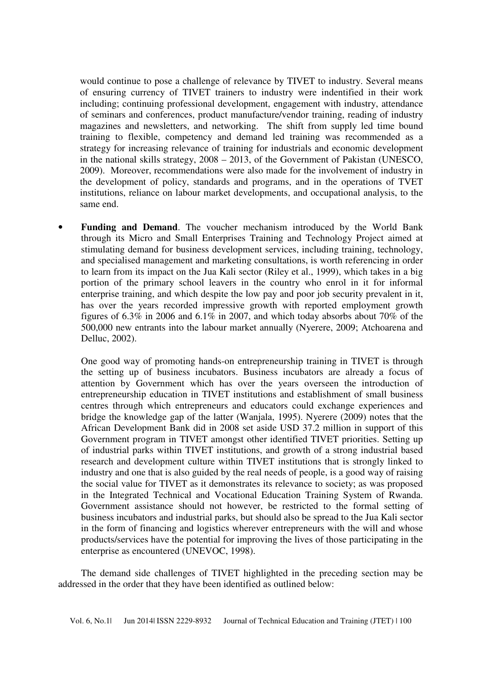would continue to pose a challenge of relevance by TIVET to industry. Several means of ensuring currency of TIVET trainers to industry were indentified in their work including; continuing professional development, engagement with industry, attendance of seminars and conferences, product manufacture/vendor training, reading of industry magazines and newsletters, and networking. The shift from supply led time bound training to flexible, competency and demand led training was recommended as a strategy for increasing relevance of training for industrials and economic development in the national skills strategy, 2008 – 2013, of the Government of Pakistan (UNESCO, 2009). Moreover, recommendations were also made for the involvement of industry in the development of policy, standards and programs, and in the operations of TVET institutions, reliance on labour market developments, and occupational analysis, to the same end.

• **Funding and Demand**. The voucher mechanism introduced by the World Bank through its Micro and Small Enterprises Training and Technology Project aimed at stimulating demand for business development services, including training, technology, and specialised management and marketing consultations, is worth referencing in order to learn from its impact on the Jua Kali sector (Riley et al., 1999), which takes in a big portion of the primary school leavers in the country who enrol in it for informal enterprise training, and which despite the low pay and poor job security prevalent in it, has over the years recorded impressive growth with reported employment growth figures of 6.3% in 2006 and 6.1% in 2007, and which today absorbs about 70% of the 500,000 new entrants into the labour market annually (Nyerere, 2009; Atchoarena and Delluc, 2002).

One good way of promoting hands-on entrepreneurship training in TIVET is through the setting up of business incubators. Business incubators are already a focus of attention by Government which has over the years overseen the introduction of entrepreneurship education in TIVET institutions and establishment of small business centres through which entrepreneurs and educators could exchange experiences and bridge the knowledge gap of the latter (Wanjala, 1995). Nyerere (2009) notes that the African Development Bank did in 2008 set aside USD 37.2 million in support of this Government program in TIVET amongst other identified TIVET priorities. Setting up of industrial parks within TIVET institutions, and growth of a strong industrial based research and development culture within TIVET institutions that is strongly linked to industry and one that is also guided by the real needs of people, is a good way of raising the social value for TIVET as it demonstrates its relevance to society; as was proposed in the Integrated Technical and Vocational Education Training System of Rwanda. Government assistance should not however, be restricted to the formal setting of business incubators and industrial parks, but should also be spread to the Jua Kali sector in the form of financing and logistics wherever entrepreneurs with the will and whose products/services have the potential for improving the lives of those participating in the enterprise as encountered (UNEVOC, 1998).

The demand side challenges of TIVET highlighted in the preceding section may be addressed in the order that they have been identified as outlined below: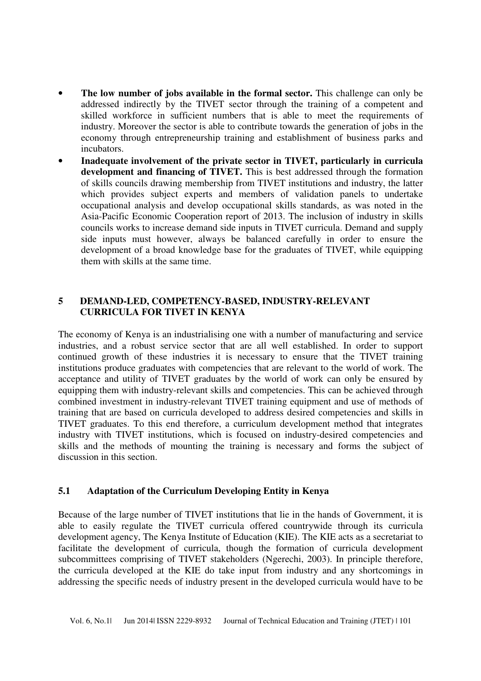- **The low number of jobs available in the formal sector.** This challenge can only be addressed indirectly by the TIVET sector through the training of a competent and skilled workforce in sufficient numbers that is able to meet the requirements of industry. Moreover the sector is able to contribute towards the generation of jobs in the economy through entrepreneurship training and establishment of business parks and incubators.
- **Inadequate involvement of the private sector in TIVET, particularly in curricula development and financing of TIVET.** This is best addressed through the formation of skills councils drawing membership from TIVET institutions and industry, the latter which provides subject experts and members of validation panels to undertake occupational analysis and develop occupational skills standards, as was noted in the Asia-Pacific Economic Cooperation report of 2013. The inclusion of industry in skills councils works to increase demand side inputs in TIVET curricula. Demand and supply side inputs must however, always be balanced carefully in order to ensure the development of a broad knowledge base for the graduates of TIVET, while equipping them with skills at the same time.

### **5 DEMAND-LED, COMPETENCY-BASED, INDUSTRY-RELEVANT CURRICULA FOR TIVET IN KENYA**

The economy of Kenya is an industrialising one with a number of manufacturing and service industries, and a robust service sector that are all well established. In order to support continued growth of these industries it is necessary to ensure that the TIVET training institutions produce graduates with competencies that are relevant to the world of work. The acceptance and utility of TIVET graduates by the world of work can only be ensured by equipping them with industry-relevant skills and competencies. This can be achieved through combined investment in industry-relevant TIVET training equipment and use of methods of training that are based on curricula developed to address desired competencies and skills in TIVET graduates. To this end therefore, a curriculum development method that integrates industry with TIVET institutions, which is focused on industry-desired competencies and skills and the methods of mounting the training is necessary and forms the subject of discussion in this section.

### **5.1 Adaptation of the Curriculum Developing Entity in Kenya**

Because of the large number of TIVET institutions that lie in the hands of Government, it is able to easily regulate the TIVET curricula offered countrywide through its curricula development agency, The Kenya Institute of Education (KIE). The KIE acts as a secretariat to facilitate the development of curricula, though the formation of curricula development subcommittees comprising of TIVET stakeholders (Ngerechi, 2003). In principle therefore, the curricula developed at the KIE do take input from industry and any shortcomings in addressing the specific needs of industry present in the developed curricula would have to be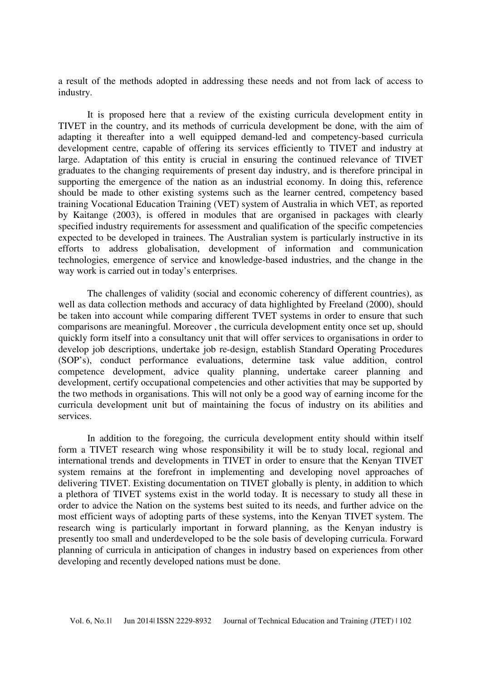a result of the methods adopted in addressing these needs and not from lack of access to industry.

It is proposed here that a review of the existing curricula development entity in TIVET in the country, and its methods of curricula development be done, with the aim of adapting it thereafter into a well equipped demand-led and competency-based curricula development centre, capable of offering its services efficiently to TIVET and industry at large. Adaptation of this entity is crucial in ensuring the continued relevance of TIVET graduates to the changing requirements of present day industry, and is therefore principal in supporting the emergence of the nation as an industrial economy. In doing this, reference should be made to other existing systems such as the learner centred, competency based training Vocational Education Training (VET) system of Australia in which VET, as reported by Kaitange (2003), is offered in modules that are organised in packages with clearly specified industry requirements for assessment and qualification of the specific competencies expected to be developed in trainees. The Australian system is particularly instructive in its efforts to address globalisation, development of information and communication technologies, emergence of service and knowledge-based industries, and the change in the way work is carried out in today's enterprises.

The challenges of validity (social and economic coherency of different countries), as well as data collection methods and accuracy of data highlighted by Freeland (2000), should be taken into account while comparing different TVET systems in order to ensure that such comparisons are meaningful. Moreover , the curricula development entity once set up, should quickly form itself into a consultancy unit that will offer services to organisations in order to develop job descriptions, undertake job re-design, establish Standard Operating Procedures (SOP's), conduct performance evaluations, determine task value addition, control competence development, advice quality planning, undertake career planning and development, certify occupational competencies and other activities that may be supported by the two methods in organisations. This will not only be a good way of earning income for the curricula development unit but of maintaining the focus of industry on its abilities and services.

In addition to the foregoing, the curricula development entity should within itself form a TIVET research wing whose responsibility it will be to study local, regional and international trends and developments in TIVET in order to ensure that the Kenyan TIVET system remains at the forefront in implementing and developing novel approaches of delivering TIVET. Existing documentation on TIVET globally is plenty, in addition to which a plethora of TIVET systems exist in the world today. It is necessary to study all these in order to advice the Nation on the systems best suited to its needs, and further advice on the most efficient ways of adopting parts of these systems, into the Kenyan TIVET system. The research wing is particularly important in forward planning, as the Kenyan industry is presently too small and underdeveloped to be the sole basis of developing curricula. Forward planning of curricula in anticipation of changes in industry based on experiences from other developing and recently developed nations must be done.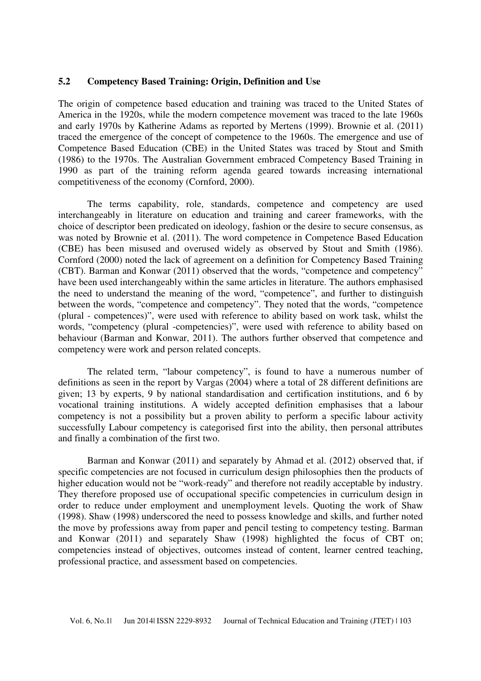### **5.2 Competency Based Training: Origin, Definition and Use**

The origin of competence based education and training was traced to the United States of America in the 1920s, while the modern competence movement was traced to the late 1960s and early 1970s by Katherine Adams as reported by Mertens (1999). Brownie et al. (2011) traced the emergence of the concept of competence to the 1960s. The emergence and use of Competence Based Education (CBE) in the United States was traced by Stout and Smith (1986) to the 1970s. The Australian Government embraced Competency Based Training in 1990 as part of the training reform agenda geared towards increasing international competitiveness of the economy (Cornford, 2000).

The terms capability, role, standards, competence and competency are used interchangeably in literature on education and training and career frameworks, with the choice of descriptor been predicated on ideology, fashion or the desire to secure consensus, as was noted by Brownie et al. (2011). The word competence in Competence Based Education (CBE) has been misused and overused widely as observed by Stout and Smith (1986). Cornford (2000) noted the lack of agreement on a definition for Competency Based Training (CBT). Barman and Konwar (2011) observed that the words, "competence and competency" have been used interchangeably within the same articles in literature. The authors emphasised the need to understand the meaning of the word, "competence", and further to distinguish between the words, "competence and competency". They noted that the words, "competence (plural - competences)", were used with reference to ability based on work task, whilst the words, "competency (plural -competencies)", were used with reference to ability based on behaviour (Barman and Konwar, 2011). The authors further observed that competence and competency were work and person related concepts.

The related term, "labour competency", is found to have a numerous number of definitions as seen in the report by Vargas (2004) where a total of 28 different definitions are given; 13 by experts, 9 by national standardisation and certification institutions, and 6 by vocational training institutions. A widely accepted definition emphasises that a labour competency is not a possibility but a proven ability to perform a specific labour activity successfully Labour competency is categorised first into the ability, then personal attributes and finally a combination of the first two.

Barman and Konwar (2011) and separately by Ahmad et al. (2012) observed that, if specific competencies are not focused in curriculum design philosophies then the products of higher education would not be "work-ready" and therefore not readily acceptable by industry. They therefore proposed use of occupational specific competencies in curriculum design in order to reduce under employment and unemployment levels. Quoting the work of Shaw (1998). Shaw (1998) underscored the need to possess knowledge and skills, and further noted the move by professions away from paper and pencil testing to competency testing. Barman and Konwar (2011) and separately Shaw (1998) highlighted the focus of CBT on; competencies instead of objectives, outcomes instead of content, learner centred teaching, professional practice, and assessment based on competencies.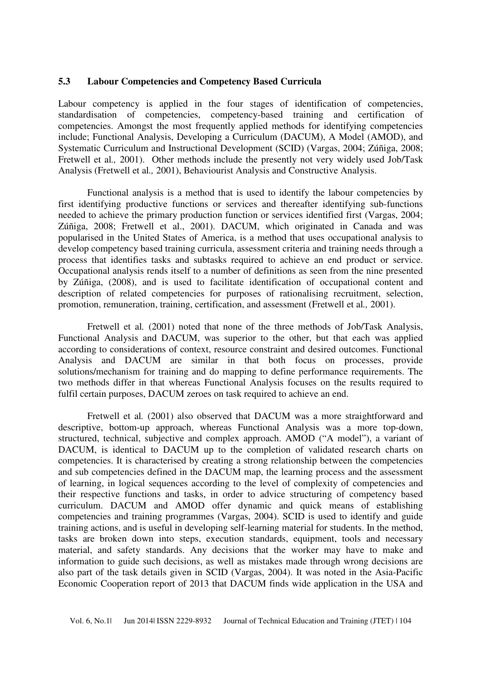### **5.3 Labour Competencies and Competency Based Curricula**

Labour competency is applied in the four stages of identification of competencies, standardisation of competencies, competency-based training and certification of competencies. Amongst the most frequently applied methods for identifying competencies include; Functional Analysis, Developing a Curriculum (DACUM), A Model (AMOD), and Systematic Curriculum and Instructional Development (SCID) (Vargas, 2004; Zúñiga, 2008; Fretwell et al*.,* 2001). Other methods include the presently not very widely used Job/Task Analysis (Fretwell et al*.,* 2001), Behaviourist Analysis and Constructive Analysis.

Functional analysis is a method that is used to identify the labour competencies by first identifying productive functions or services and thereafter identifying sub-functions needed to achieve the primary production function or services identified first (Vargas, 2004; Zúñiga, 2008; Fretwell et al., 2001). DACUM, which originated in Canada and was popularised in the United States of America, is a method that uses occupational analysis to develop competency based training curricula, assessment criteria and training needs through a process that identifies tasks and subtasks required to achieve an end product or service. Occupational analysis rends itself to a number of definitions as seen from the nine presented by Zúñiga, (2008), and is used to facilitate identification of occupational content and description of related competencies for purposes of rationalising recruitment, selection, promotion, remuneration, training, certification, and assessment (Fretwell et al*.,* 2001).

Fretwell et al*.* (2001) noted that none of the three methods of Job/Task Analysis, Functional Analysis and DACUM, was superior to the other, but that each was applied according to considerations of context, resource constraint and desired outcomes. Functional Analysis and DACUM are similar in that both focus on processes, provide solutions/mechanism for training and do mapping to define performance requirements. The two methods differ in that whereas Functional Analysis focuses on the results required to fulfil certain purposes, DACUM zeroes on task required to achieve an end.

Fretwell et al*.* (2001) also observed that DACUM was a more straightforward and descriptive, bottom-up approach, whereas Functional Analysis was a more top-down, structured, technical, subjective and complex approach. AMOD ("A model"), a variant of DACUM, is identical to DACUM up to the completion of validated research charts on competencies. It is characterised by creating a strong relationship between the competencies and sub competencies defined in the DACUM map, the learning process and the assessment of learning, in logical sequences according to the level of complexity of competencies and their respective functions and tasks, in order to advice structuring of competency based curriculum. DACUM and AMOD offer dynamic and quick means of establishing competencies and training programmes (Vargas, 2004). SCID is used to identify and guide training actions, and is useful in developing self-learning material for students. In the method, tasks are broken down into steps, execution standards, equipment, tools and necessary material, and safety standards. Any decisions that the worker may have to make and information to guide such decisions, as well as mistakes made through wrong decisions are also part of the task details given in SCID (Vargas, 2004). It was noted in the Asia-Pacific Economic Cooperation report of 2013 that DACUM finds wide application in the USA and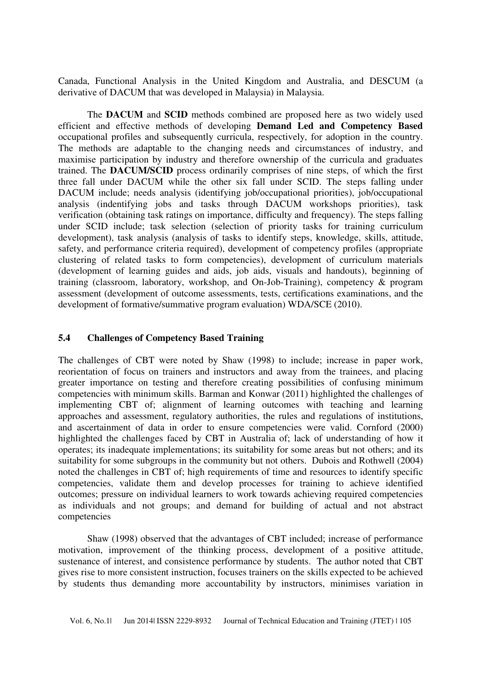Canada, Functional Analysis in the United Kingdom and Australia, and DESCUM (a derivative of DACUM that was developed in Malaysia) in Malaysia.

The **DACUM** and **SCID** methods combined are proposed here as two widely used efficient and effective methods of developing **Demand Led and Competency Based** occupational profiles and subsequently curricula, respectively, for adoption in the country. The methods are adaptable to the changing needs and circumstances of industry, and maximise participation by industry and therefore ownership of the curricula and graduates trained. The **DACUM/SCID** process ordinarily comprises of nine steps, of which the first three fall under DACUM while the other six fall under SCID. The steps falling under DACUM include; needs analysis (identifying job/occupational priorities), job/occupational analysis (indentifying jobs and tasks through DACUM workshops priorities), task verification (obtaining task ratings on importance, difficulty and frequency). The steps falling under SCID include; task selection (selection of priority tasks for training curriculum development), task analysis (analysis of tasks to identify steps, knowledge, skills, attitude, safety, and performance criteria required), development of competency profiles (appropriate clustering of related tasks to form competencies), development of curriculum materials (development of learning guides and aids, job aids, visuals and handouts), beginning of training (classroom, laboratory, workshop, and On-Job-Training), competency & program assessment (development of outcome assessments, tests, certifications examinations, and the development of formative/summative program evaluation) WDA/SCE (2010).

#### **5.4 Challenges of Competency Based Training**

The challenges of CBT were noted by Shaw (1998) to include; increase in paper work, reorientation of focus on trainers and instructors and away from the trainees, and placing greater importance on testing and therefore creating possibilities of confusing minimum competencies with minimum skills. Barman and Konwar (2011) highlighted the challenges of implementing CBT of; alignment of learning outcomes with teaching and learning approaches and assessment, regulatory authorities, the rules and regulations of institutions, and ascertainment of data in order to ensure competencies were valid. Cornford (2000) highlighted the challenges faced by CBT in Australia of; lack of understanding of how it operates; its inadequate implementations; its suitability for some areas but not others; and its suitability for some subgroups in the community but not others. Dubois and Rothwell (2004) noted the challenges in CBT of; high requirements of time and resources to identify specific competencies, validate them and develop processes for training to achieve identified outcomes; pressure on individual learners to work towards achieving required competencies as individuals and not groups; and demand for building of actual and not abstract competencies

Shaw (1998) observed that the advantages of CBT included; increase of performance motivation, improvement of the thinking process, development of a positive attitude, sustenance of interest, and consistence performance by students. The author noted that CBT gives rise to more consistent instruction, focuses trainers on the skills expected to be achieved by students thus demanding more accountability by instructors, minimises variation in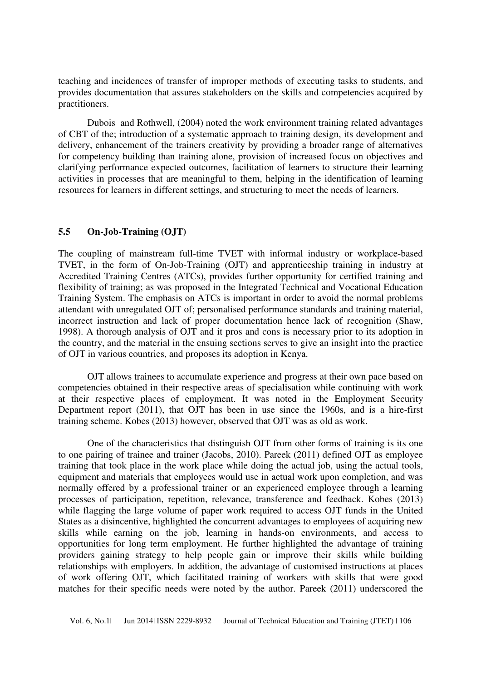teaching and incidences of transfer of improper methods of executing tasks to students, and provides documentation that assures stakeholders on the skills and competencies acquired by practitioners.

Dubois and Rothwell, (2004) noted the work environment training related advantages of CBT of the; introduction of a systematic approach to training design, its development and delivery, enhancement of the trainers creativity by providing a broader range of alternatives for competency building than training alone, provision of increased focus on objectives and clarifying performance expected outcomes, facilitation of learners to structure their learning activities in processes that are meaningful to them, helping in the identification of learning resources for learners in different settings, and structuring to meet the needs of learners.

### **5.5 On-Job-Training (OJT)**

The coupling of mainstream full-time TVET with informal industry or workplace-based TVET, in the form of On-Job-Training (OJT) and apprenticeship training in industry at Accredited Training Centres (ATCs), provides further opportunity for certified training and flexibility of training; as was proposed in the Integrated Technical and Vocational Education Training System. The emphasis on ATCs is important in order to avoid the normal problems attendant with unregulated OJT of; personalised performance standards and training material, incorrect instruction and lack of proper documentation hence lack of recognition (Shaw, 1998). A thorough analysis of OJT and it pros and cons is necessary prior to its adoption in the country, and the material in the ensuing sections serves to give an insight into the practice of OJT in various countries, and proposes its adoption in Kenya.

OJT allows trainees to accumulate experience and progress at their own pace based on competencies obtained in their respective areas of specialisation while continuing with work at their respective places of employment. It was noted in the Employment Security Department report (2011), that OJT has been in use since the 1960s, and is a hire-first training scheme. Kobes (2013) however, observed that OJT was as old as work.

One of the characteristics that distinguish OJT from other forms of training is its one to one pairing of trainee and trainer (Jacobs, 2010). Pareek (2011) defined OJT as employee training that took place in the work place while doing the actual job, using the actual tools, equipment and materials that employees would use in actual work upon completion, and was normally offered by a professional trainer or an experienced employee through a learning processes of participation, repetition, relevance, transference and feedback. Kobes (2013) while flagging the large volume of paper work required to access OJT funds in the United States as a disincentive, highlighted the concurrent advantages to employees of acquiring new skills while earning on the job, learning in hands-on environments, and access to opportunities for long term employment. He further highlighted the advantage of training providers gaining strategy to help people gain or improve their skills while building relationships with employers. In addition, the advantage of customised instructions at places of work offering OJT, which facilitated training of workers with skills that were good matches for their specific needs were noted by the author. Pareek (2011) underscored the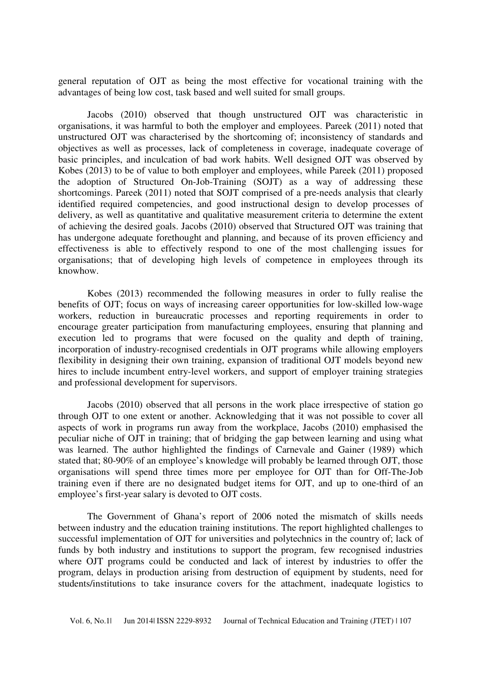general reputation of OJT as being the most effective for vocational training with the advantages of being low cost, task based and well suited for small groups.

Jacobs (2010) observed that though unstructured OJT was characteristic in organisations, it was harmful to both the employer and employees. Pareek (2011) noted that unstructured OJT was characterised by the shortcoming of; inconsistency of standards and objectives as well as processes, lack of completeness in coverage, inadequate coverage of basic principles, and inculcation of bad work habits. Well designed OJT was observed by Kobes (2013) to be of value to both employer and employees, while Pareek (2011) proposed the adoption of Structured On-Job-Training (SOJT) as a way of addressing these shortcomings. Pareek (2011) noted that SOJT comprised of a pre-needs analysis that clearly identified required competencies, and good instructional design to develop processes of delivery, as well as quantitative and qualitative measurement criteria to determine the extent of achieving the desired goals. Jacobs (2010) observed that Structured OJT was training that has undergone adequate forethought and planning, and because of its proven efficiency and effectiveness is able to effectively respond to one of the most challenging issues for organisations; that of developing high levels of competence in employees through its knowhow.

Kobes (2013) recommended the following measures in order to fully realise the benefits of OJT; focus on ways of increasing career opportunities for low-skilled low-wage workers, reduction in bureaucratic processes and reporting requirements in order to encourage greater participation from manufacturing employees, ensuring that planning and execution led to programs that were focused on the quality and depth of training, incorporation of industry-recognised credentials in OJT programs while allowing employers flexibility in designing their own training, expansion of traditional OJT models beyond new hires to include incumbent entry-level workers, and support of employer training strategies and professional development for supervisors.

Jacobs (2010) observed that all persons in the work place irrespective of station go through OJT to one extent or another. Acknowledging that it was not possible to cover all aspects of work in programs run away from the workplace, Jacobs (2010) emphasised the peculiar niche of OJT in training; that of bridging the gap between learning and using what was learned. The author highlighted the findings of Carnevale and Gainer (1989) which stated that; 80-90% of an employee's knowledge will probably be learned through OJT, those organisations will spend three times more per employee for OJT than for Off-The-Job training even if there are no designated budget items for OJT, and up to one-third of an employee's first-year salary is devoted to OJT costs.

The Government of Ghana's report of 2006 noted the mismatch of skills needs between industry and the education training institutions. The report highlighted challenges to successful implementation of OJT for universities and polytechnics in the country of; lack of funds by both industry and institutions to support the program, few recognised industries where OJT programs could be conducted and lack of interest by industries to offer the program, delays in production arising from destruction of equipment by students, need for students/institutions to take insurance covers for the attachment, inadequate logistics to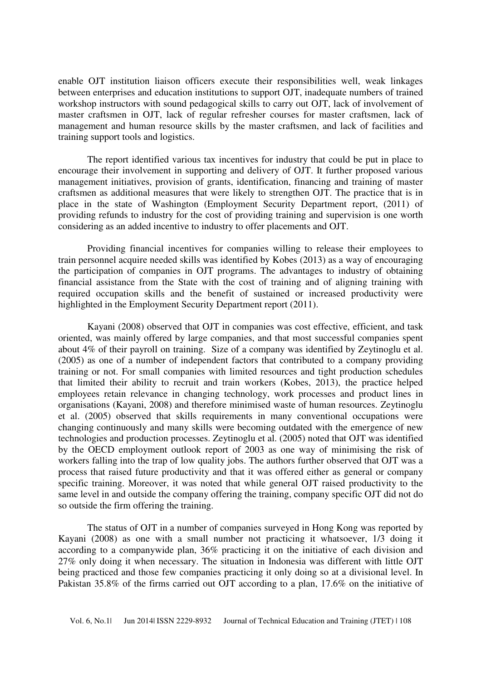enable OJT institution liaison officers execute their responsibilities well, weak linkages between enterprises and education institutions to support OJT, inadequate numbers of trained workshop instructors with sound pedagogical skills to carry out OJT, lack of involvement of master craftsmen in OJT, lack of regular refresher courses for master craftsmen, lack of management and human resource skills by the master craftsmen, and lack of facilities and training support tools and logistics.

The report identified various tax incentives for industry that could be put in place to encourage their involvement in supporting and delivery of OJT. It further proposed various management initiatives, provision of grants, identification, financing and training of master craftsmen as additional measures that were likely to strengthen OJT. The practice that is in place in the state of Washington (Employment Security Department report, (2011) of providing refunds to industry for the cost of providing training and supervision is one worth considering as an added incentive to industry to offer placements and OJT.

Providing financial incentives for companies willing to release their employees to train personnel acquire needed skills was identified by Kobes (2013) as a way of encouraging the participation of companies in OJT programs. The advantages to industry of obtaining financial assistance from the State with the cost of training and of aligning training with required occupation skills and the benefit of sustained or increased productivity were highlighted in the Employment Security Department report (2011).

Kayani (2008) observed that OJT in companies was cost effective, efficient, and task oriented, was mainly offered by large companies, and that most successful companies spent about 4% of their payroll on training. Size of a company was identified by Zeytinoglu et al. (2005) as one of a number of independent factors that contributed to a company providing training or not. For small companies with limited resources and tight production schedules that limited their ability to recruit and train workers (Kobes, 2013), the practice helped employees retain relevance in changing technology, work processes and product lines in organisations (Kayani, 2008) and therefore minimised waste of human resources. Zeytinoglu et al. (2005) observed that skills requirements in many conventional occupations were changing continuously and many skills were becoming outdated with the emergence of new technologies and production processes. Zeytinoglu et al. (2005) noted that OJT was identified by the OECD employment outlook report of 2003 as one way of minimising the risk of workers falling into the trap of low quality jobs. The authors further observed that OJT was a process that raised future productivity and that it was offered either as general or company specific training. Moreover, it was noted that while general OJT raised productivity to the same level in and outside the company offering the training, company specific OJT did not do so outside the firm offering the training.

The status of OJT in a number of companies surveyed in Hong Kong was reported by Kayani (2008) as one with a small number not practicing it whatsoever, 1/3 doing it according to a companywide plan, 36% practicing it on the initiative of each division and 27% only doing it when necessary. The situation in Indonesia was different with little OJT being practiced and those few companies practicing it only doing so at a divisional level. In Pakistan 35.8% of the firms carried out OJT according to a plan, 17.6% on the initiative of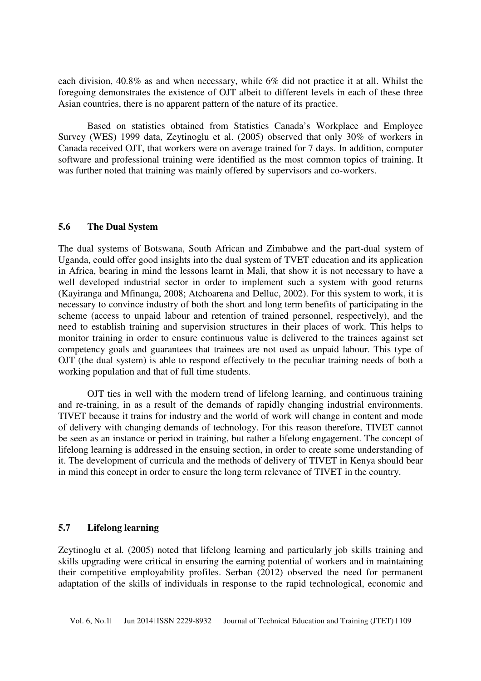each division, 40.8% as and when necessary, while 6% did not practice it at all. Whilst the foregoing demonstrates the existence of OJT albeit to different levels in each of these three Asian countries, there is no apparent pattern of the nature of its practice.

Based on statistics obtained from Statistics Canada's Workplace and Employee Survey (WES) 1999 data, Zeytinoglu et al. (2005) observed that only 30% of workers in Canada received OJT, that workers were on average trained for 7 days. In addition, computer software and professional training were identified as the most common topics of training. It was further noted that training was mainly offered by supervisors and co-workers.

### **5.6 The Dual System**

The dual systems of Botswana, South African and Zimbabwe and the part-dual system of Uganda, could offer good insights into the dual system of TVET education and its application in Africa, bearing in mind the lessons learnt in Mali, that show it is not necessary to have a well developed industrial sector in order to implement such a system with good returns (Kayiranga and Mfinanga, 2008; Atchoarena and Delluc, 2002). For this system to work, it is necessary to convince industry of both the short and long term benefits of participating in the scheme (access to unpaid labour and retention of trained personnel, respectively), and the need to establish training and supervision structures in their places of work. This helps to monitor training in order to ensure continuous value is delivered to the trainees against set competency goals and guarantees that trainees are not used as unpaid labour. This type of OJT (the dual system) is able to respond effectively to the peculiar training needs of both a working population and that of full time students.

OJT ties in well with the modern trend of lifelong learning, and continuous training and re-training, in as a result of the demands of rapidly changing industrial environments. TIVET because it trains for industry and the world of work will change in content and mode of delivery with changing demands of technology. For this reason therefore, TIVET cannot be seen as an instance or period in training, but rather a lifelong engagement. The concept of lifelong learning is addressed in the ensuing section, in order to create some understanding of it. The development of curricula and the methods of delivery of TIVET in Kenya should bear in mind this concept in order to ensure the long term relevance of TIVET in the country.

### **5.7 Lifelong learning**

Zeytinoglu et al*.* (2005) noted that lifelong learning and particularly job skills training and skills upgrading were critical in ensuring the earning potential of workers and in maintaining their competitive employability profiles. Serban (2012) observed the need for permanent adaptation of the skills of individuals in response to the rapid technological, economic and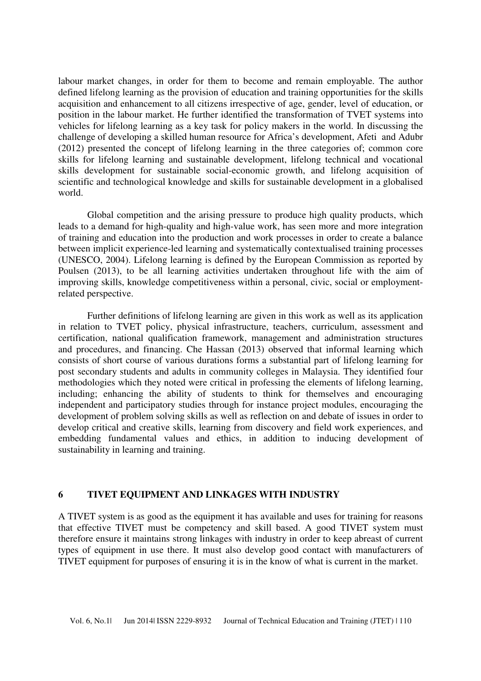labour market changes, in order for them to become and remain employable. The author defined lifelong learning as the provision of education and training opportunities for the skills acquisition and enhancement to all citizens irrespective of age, gender, level of education, or position in the labour market. He further identified the transformation of TVET systems into vehicles for lifelong learning as a key task for policy makers in the world. In discussing the challenge of developing a skilled human resource for Africa's development, Afeti and Adubr (2012) presented the concept of lifelong learning in the three categories of; common core skills for lifelong learning and sustainable development, lifelong technical and vocational skills development for sustainable social-economic growth, and lifelong acquisition of scientific and technological knowledge and skills for sustainable development in a globalised world.

Global competition and the arising pressure to produce high quality products, which leads to a demand for high-quality and high-value work, has seen more and more integration of training and education into the production and work processes in order to create a balance between implicit experience-led learning and systematically contextualised training processes (UNESCO, 2004). Lifelong learning is defined by the European Commission as reported by Poulsen (2013), to be all learning activities undertaken throughout life with the aim of improving skills, knowledge competitiveness within a personal, civic, social or employmentrelated perspective.

Further definitions of lifelong learning are given in this work as well as its application in relation to TVET policy, physical infrastructure, teachers, curriculum, assessment and certification, national qualification framework, management and administration structures and procedures, and financing. Che Hassan (2013) observed that informal learning which consists of short course of various durations forms a substantial part of lifelong learning for post secondary students and adults in community colleges in Malaysia. They identified four methodologies which they noted were critical in professing the elements of lifelong learning, including; enhancing the ability of students to think for themselves and encouraging independent and participatory studies through for instance project modules, encouraging the development of problem solving skills as well as reflection on and debate of issues in order to develop critical and creative skills, learning from discovery and field work experiences, and embedding fundamental values and ethics, in addition to inducing development of sustainability in learning and training.

#### **6 TIVET EQUIPMENT AND LINKAGES WITH INDUSTRY**

A TIVET system is as good as the equipment it has available and uses for training for reasons that effective TIVET must be competency and skill based. A good TIVET system must therefore ensure it maintains strong linkages with industry in order to keep abreast of current types of equipment in use there. It must also develop good contact with manufacturers of TIVET equipment for purposes of ensuring it is in the know of what is current in the market.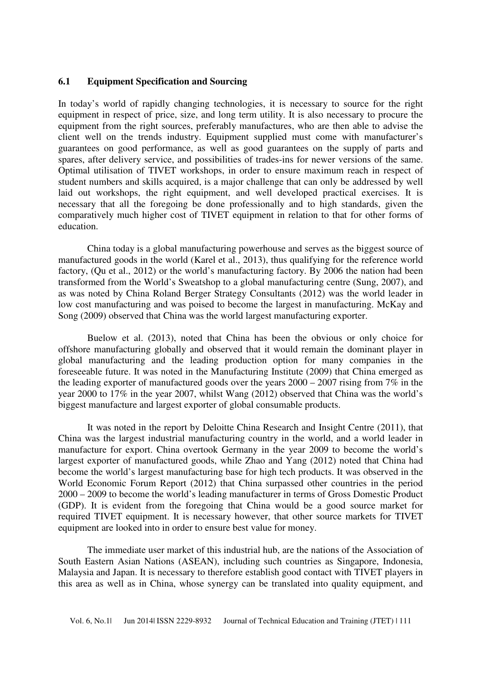### **6.1 Equipment Specification and Sourcing**

In today's world of rapidly changing technologies, it is necessary to source for the right equipment in respect of price, size, and long term utility. It is also necessary to procure the equipment from the right sources, preferably manufactures, who are then able to advise the client well on the trends industry. Equipment supplied must come with manufacturer's guarantees on good performance, as well as good guarantees on the supply of parts and spares, after delivery service, and possibilities of trades-ins for newer versions of the same. Optimal utilisation of TIVET workshops, in order to ensure maximum reach in respect of student numbers and skills acquired, is a major challenge that can only be addressed by well laid out workshops, the right equipment, and well developed practical exercises. It is necessary that all the foregoing be done professionally and to high standards, given the comparatively much higher cost of TIVET equipment in relation to that for other forms of education.

China today is a global manufacturing powerhouse and serves as the biggest source of manufactured goods in the world (Karel et al., 2013), thus qualifying for the reference world factory, (Qu et al., 2012) or the world's manufacturing factory. By 2006 the nation had been transformed from the World's Sweatshop to a global manufacturing centre (Sung, 2007), and as was noted by China Roland Berger Strategy Consultants (2012) was the world leader in low cost manufacturing and was poised to become the largest in manufacturing. McKay and Song (2009) observed that China was the world largest manufacturing exporter.

Buelow et al. (2013), noted that China has been the obvious or only choice for offshore manufacturing globally and observed that it would remain the dominant player in global manufacturing and the leading production option for many companies in the foreseeable future. It was noted in the Manufacturing Institute (2009) that China emerged as the leading exporter of manufactured goods over the years  $2000 - 2007$  rising from  $7\%$  in the year 2000 to 17% in the year 2007, whilst Wang (2012) observed that China was the world's biggest manufacture and largest exporter of global consumable products.

It was noted in the report by Deloitte China Research and Insight Centre (2011), that China was the largest industrial manufacturing country in the world, and a world leader in manufacture for export. China overtook Germany in the year 2009 to become the world's largest exporter of manufactured goods, while Zhao and Yang (2012) noted that China had become the world's largest manufacturing base for high tech products. It was observed in the World Economic Forum Report (2012) that China surpassed other countries in the period 2000 – 2009 to become the world's leading manufacturer in terms of Gross Domestic Product (GDP). It is evident from the foregoing that China would be a good source market for required TIVET equipment. It is necessary however, that other source markets for TIVET equipment are looked into in order to ensure best value for money.

The immediate user market of this industrial hub, are the nations of the Association of South Eastern Asian Nations (ASEAN), including such countries as Singapore, Indonesia, Malaysia and Japan. It is necessary to therefore establish good contact with TIVET players in this area as well as in China, whose synergy can be translated into quality equipment, and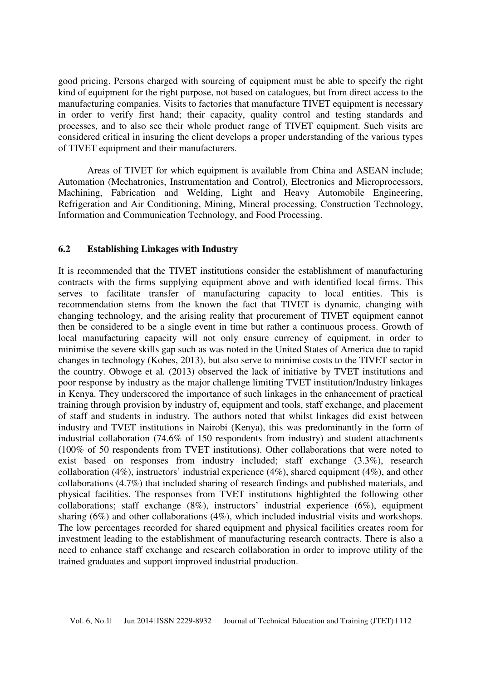good pricing. Persons charged with sourcing of equipment must be able to specify the right kind of equipment for the right purpose, not based on catalogues, but from direct access to the manufacturing companies. Visits to factories that manufacture TIVET equipment is necessary in order to verify first hand; their capacity, quality control and testing standards and processes, and to also see their whole product range of TIVET equipment. Such visits are considered critical in insuring the client develops a proper understanding of the various types of TIVET equipment and their manufacturers.

Areas of TIVET for which equipment is available from China and ASEAN include; Automation (Mechatronics, Instrumentation and Control), Electronics and Microprocessors, Machining, Fabrication and Welding, Light and Heavy Automobile Engineering, Refrigeration and Air Conditioning, Mining, Mineral processing, Construction Technology, Information and Communication Technology, and Food Processing.

### **6.2 Establishing Linkages with Industry**

It is recommended that the TIVET institutions consider the establishment of manufacturing contracts with the firms supplying equipment above and with identified local firms. This serves to facilitate transfer of manufacturing capacity to local entities. This is recommendation stems from the known the fact that TIVET is dynamic, changing with changing technology, and the arising reality that procurement of TIVET equipment cannot then be considered to be a single event in time but rather a continuous process. Growth of local manufacturing capacity will not only ensure currency of equipment, in order to minimise the severe skills gap such as was noted in the United States of America due to rapid changes in technology (Kobes, 2013), but also serve to minimise costs to the TIVET sector in the country. Obwoge et al*.* (2013) observed the lack of initiative by TVET institutions and poor response by industry as the major challenge limiting TVET institution/Industry linkages in Kenya. They underscored the importance of such linkages in the enhancement of practical training through provision by industry of, equipment and tools, staff exchange, and placement of staff and students in industry. The authors noted that whilst linkages did exist between industry and TVET institutions in Nairobi (Kenya), this was predominantly in the form of industrial collaboration (74.6% of 150 respondents from industry) and student attachments (100% of 50 respondents from TVET institutions). Other collaborations that were noted to exist based on responses from industry included; staff exchange (3.3%), research collaboration (4%), instructors' industrial experience (4%), shared equipment (4%), and other collaborations (4.7%) that included sharing of research findings and published materials, and physical facilities. The responses from TVET institutions highlighted the following other collaborations; staff exchange (8%), instructors' industrial experience (6%), equipment sharing (6%) and other collaborations (4%), which included industrial visits and workshops. The low percentages recorded for shared equipment and physical facilities creates room for investment leading to the establishment of manufacturing research contracts. There is also a need to enhance staff exchange and research collaboration in order to improve utility of the trained graduates and support improved industrial production.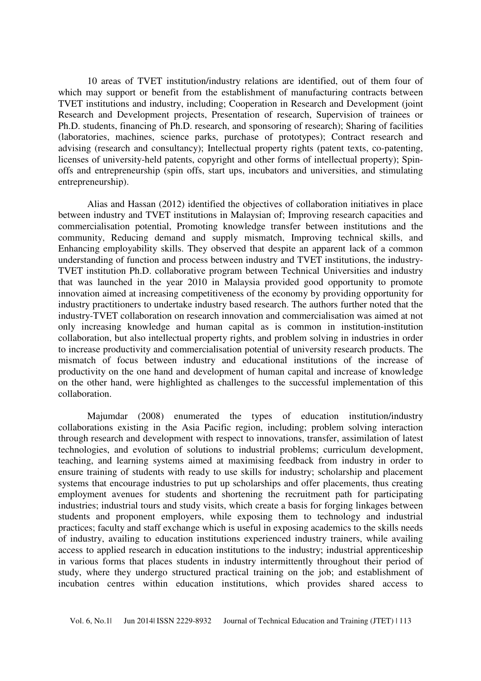10 areas of TVET institution/industry relations are identified, out of them four of which may support or benefit from the establishment of manufacturing contracts between TVET institutions and industry, including; Cooperation in Research and Development (joint Research and Development projects, Presentation of research, Supervision of trainees or Ph.D. students, financing of Ph.D. research, and sponsoring of research); Sharing of facilities (laboratories, machines, science parks, purchase of prototypes); Contract research and advising (research and consultancy); Intellectual property rights (patent texts, co-patenting, licenses of university-held patents, copyright and other forms of intellectual property); Spinoffs and entrepreneurship (spin offs, start ups, incubators and universities, and stimulating entrepreneurship).

Alias and Hassan (2012) identified the objectives of collaboration initiatives in place between industry and TVET institutions in Malaysian of; Improving research capacities and commercialisation potential, Promoting knowledge transfer between institutions and the community, Reducing demand and supply mismatch, Improving technical skills, and Enhancing employability skills. They observed that despite an apparent lack of a common understanding of function and process between industry and TVET institutions, the industry-TVET institution Ph.D. collaborative program between Technical Universities and industry that was launched in the year 2010 in Malaysia provided good opportunity to promote innovation aimed at increasing competitiveness of the economy by providing opportunity for industry practitioners to undertake industry based research. The authors further noted that the industry-TVET collaboration on research innovation and commercialisation was aimed at not only increasing knowledge and human capital as is common in institution-institution collaboration, but also intellectual property rights, and problem solving in industries in order to increase productivity and commercialisation potential of university research products. The mismatch of focus between industry and educational institutions of the increase of productivity on the one hand and development of human capital and increase of knowledge on the other hand, were highlighted as challenges to the successful implementation of this collaboration.

Majumdar (2008) enumerated the types of education institution/industry collaborations existing in the Asia Pacific region, including; problem solving interaction through research and development with respect to innovations, transfer, assimilation of latest technologies, and evolution of solutions to industrial problems; curriculum development, teaching, and learning systems aimed at maximising feedback from industry in order to ensure training of students with ready to use skills for industry; scholarship and placement systems that encourage industries to put up scholarships and offer placements, thus creating employment avenues for students and shortening the recruitment path for participating industries; industrial tours and study visits, which create a basis for forging linkages between students and proponent employers, while exposing them to technology and industrial practices; faculty and staff exchange which is useful in exposing academics to the skills needs of industry, availing to education institutions experienced industry trainers, while availing access to applied research in education institutions to the industry; industrial apprenticeship in various forms that places students in industry intermittently throughout their period of study, where they undergo structured practical training on the job; and establishment of incubation centres within education institutions, which provides shared access to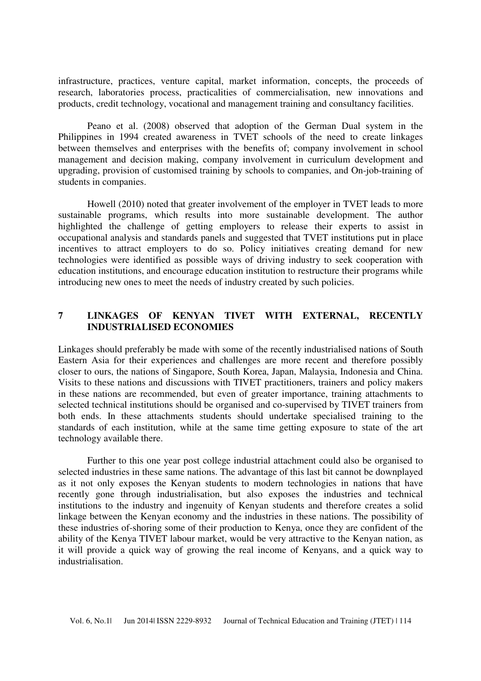infrastructure, practices, venture capital, market information, concepts, the proceeds of research, laboratories process, practicalities of commercialisation, new innovations and products, credit technology, vocational and management training and consultancy facilities.

Peano et al. (2008) observed that adoption of the German Dual system in the Philippines in 1994 created awareness in TVET schools of the need to create linkages between themselves and enterprises with the benefits of; company involvement in school management and decision making, company involvement in curriculum development and upgrading, provision of customised training by schools to companies, and On-job-training of students in companies.

Howell (2010) noted that greater involvement of the employer in TVET leads to more sustainable programs, which results into more sustainable development. The author highlighted the challenge of getting employers to release their experts to assist in occupational analysis and standards panels and suggested that TVET institutions put in place incentives to attract employers to do so. Policy initiatives creating demand for new technologies were identified as possible ways of driving industry to seek cooperation with education institutions, and encourage education institution to restructure their programs while introducing new ones to meet the needs of industry created by such policies.

### **7 LINKAGES OF KENYAN TIVET WITH EXTERNAL, RECENTLY INDUSTRIALISED ECONOMIES**

Linkages should preferably be made with some of the recently industrialised nations of South Eastern Asia for their experiences and challenges are more recent and therefore possibly closer to ours, the nations of Singapore, South Korea, Japan, Malaysia, Indonesia and China. Visits to these nations and discussions with TIVET practitioners, trainers and policy makers in these nations are recommended, but even of greater importance, training attachments to selected technical institutions should be organised and co-supervised by TIVET trainers from both ends. In these attachments students should undertake specialised training to the standards of each institution, while at the same time getting exposure to state of the art technology available there.

Further to this one year post college industrial attachment could also be organised to selected industries in these same nations. The advantage of this last bit cannot be downplayed as it not only exposes the Kenyan students to modern technologies in nations that have recently gone through industrialisation, but also exposes the industries and technical institutions to the industry and ingenuity of Kenyan students and therefore creates a solid linkage between the Kenyan economy and the industries in these nations. The possibility of these industries of-shoring some of their production to Kenya, once they are confident of the ability of the Kenya TIVET labour market, would be very attractive to the Kenyan nation, as it will provide a quick way of growing the real income of Kenyans, and a quick way to industrialisation.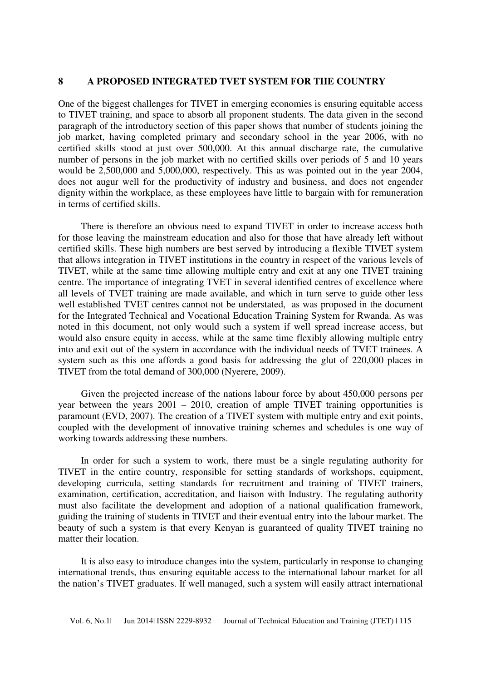### **8 A PROPOSED INTEGRATED TVET SYSTEM FOR THE COUNTRY**

One of the biggest challenges for TIVET in emerging economies is ensuring equitable access to TIVET training, and space to absorb all proponent students. The data given in the second paragraph of the introductory section of this paper shows that number of students joining the job market, having completed primary and secondary school in the year 2006, with no certified skills stood at just over 500,000. At this annual discharge rate, the cumulative number of persons in the job market with no certified skills over periods of 5 and 10 years would be 2,500,000 and 5,000,000, respectively. This as was pointed out in the year 2004, does not augur well for the productivity of industry and business, and does not engender dignity within the workplace, as these employees have little to bargain with for remuneration in terms of certified skills.

There is therefore an obvious need to expand TIVET in order to increase access both for those leaving the mainstream education and also for those that have already left without certified skills. These high numbers are best served by introducing a flexible TIVET system that allows integration in TIVET institutions in the country in respect of the various levels of TIVET, while at the same time allowing multiple entry and exit at any one TIVET training centre. The importance of integrating TVET in several identified centres of excellence where all levels of TVET training are made available, and which in turn serve to guide other less well established TVET centres cannot not be understated, as was proposed in the document for the Integrated Technical and Vocational Education Training System for Rwanda. As was noted in this document, not only would such a system if well spread increase access, but would also ensure equity in access, while at the same time flexibly allowing multiple entry into and exit out of the system in accordance with the individual needs of TVET trainees. A system such as this one affords a good basis for addressing the glut of 220,000 places in TIVET from the total demand of 300,000 (Nyerere, 2009).

Given the projected increase of the nations labour force by about 450,000 persons per year between the years 2001 – 2010, creation of ample TIVET training opportunities is paramount (EVD, 2007). The creation of a TIVET system with multiple entry and exit points, coupled with the development of innovative training schemes and schedules is one way of working towards addressing these numbers.

In order for such a system to work, there must be a single regulating authority for TIVET in the entire country, responsible for setting standards of workshops, equipment, developing curricula, setting standards for recruitment and training of TIVET trainers, examination, certification, accreditation, and liaison with Industry. The regulating authority must also facilitate the development and adoption of a national qualification framework, guiding the training of students in TIVET and their eventual entry into the labour market. The beauty of such a system is that every Kenyan is guaranteed of quality TIVET training no matter their location.

It is also easy to introduce changes into the system, particularly in response to changing international trends, thus ensuring equitable access to the international labour market for all the nation's TIVET graduates. If well managed, such a system will easily attract international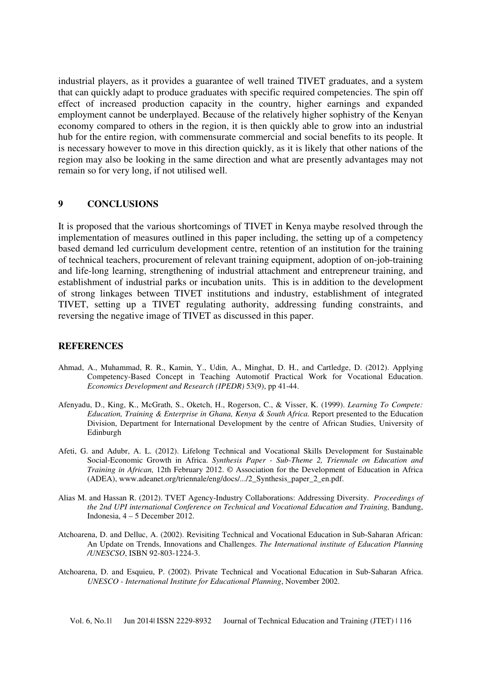industrial players, as it provides a guarantee of well trained TIVET graduates, and a system that can quickly adapt to produce graduates with specific required competencies. The spin off effect of increased production capacity in the country, higher earnings and expanded employment cannot be underplayed. Because of the relatively higher sophistry of the Kenyan economy compared to others in the region, it is then quickly able to grow into an industrial hub for the entire region, with commensurate commercial and social benefits to its people. It is necessary however to move in this direction quickly, as it is likely that other nations of the region may also be looking in the same direction and what are presently advantages may not remain so for very long, if not utilised well.

### **9 CONCLUSIONS**

It is proposed that the various shortcomings of TIVET in Kenya maybe resolved through the implementation of measures outlined in this paper including, the setting up of a competency based demand led curriculum development centre, retention of an institution for the training of technical teachers, procurement of relevant training equipment, adoption of on-job-training and life-long learning, strengthening of industrial attachment and entrepreneur training, and establishment of industrial parks or incubation units. This is in addition to the development of strong linkages between TIVET institutions and industry, establishment of integrated TIVET, setting up a TIVET regulating authority, addressing funding constraints, and reversing the negative image of TIVET as discussed in this paper.

#### **REFERENCES**

- Ahmad, A., Muhammad, R. R., Kamin, Y., Udin, A., Minghat, D. H., and Cartledge, D. (2012). Applying Competency-Based Concept in Teaching Automotif Practical Work for Vocational Education. *Economics Development and Research (IPEDR)* 53(9), pp 41-44.
- Afenyadu, D., King, K., McGrath, S., Oketch, H., Rogerson, C., & Visser, K. (1999). *Learning To Compete: Education, Training & Enterprise in Ghana, Kenya & South Africa. Report presented to the Education* Division, Department for International Development by the centre of African Studies, University of Edinburgh
- Afeti, G. and Adubr, A. L. (2012). Lifelong Technical and Vocational Skills Development for Sustainable Social-Economic Growth in Africa. *Synthesis Paper - Sub-Theme 2, Triennale on Education and Training in African,* 12th February 2012. © Association for the Development of Education in Africa (ADEA), www.adeanet.org/triennale/eng/docs/.../2\_Synthesis\_paper\_2\_en.pdf.
- Alias M. and Hassan R. (2012). TVET Agency-Industry Collaborations: Addressing Diversity. *Proceedings of the 2nd UPI international Conference on Technical and Vocational Education and Training,* Bandung, Indonesia, 4 – 5 December 2012.
- Atchoarena, D. and Delluc, A. (2002). Revisiting Technical and Vocational Education in Sub-Saharan African: An Update on Trends, Innovations and Challenges. *The International institute of Education Planning /UNESCSO*, ISBN 92-803-1224-3.
- Atchoarena, D. and Esquieu, P. (2002). Private Technical and Vocational Education in Sub-Saharan Africa. *UNESCO - International Institute for Educational Planning*, November 2002.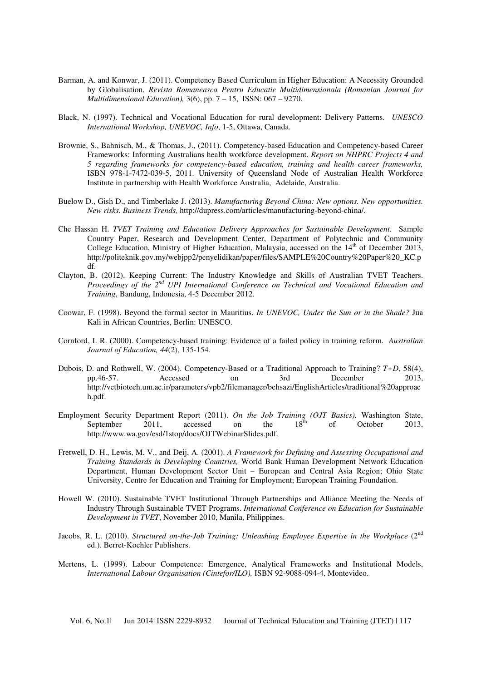- Barman, A. and Konwar, J. (2011). Competency Based Curriculum in Higher Education: A Necessity Grounded by Globalisation. *Revista Romaneasca Pentru Educatie Multidimensionala (Romanian Journal for Multidimensional Education),* 3(6), pp. 7 – 15, ISSN: 067 – 9270.
- Black, N. (1997). Technical and Vocational Education for rural development: Delivery Patterns. *UNESCO International Workshop, UNEVOC, Info*, 1-5, Ottawa, Canada.
- Brownie, S., Bahnisch, M., & Thomas, J., (2011). Competency-based Education and Competency-based Career Frameworks: Informing Australians health workforce development. *Report on NHPRC Projects 4 and 5 regarding frameworks for competency-based education, training and health career frameworks,*  ISBN 978-1-7472-039-5, 2011. University of Queensland Node of Australian Health Workforce Institute in partnership with Health Workforce Australia, Adelaide, Australia.
- Buelow D., Gish D., and Timberlake J. (2013). *Manufacturing Beyond China: New options. New opportunities. New risks. Business Trends,* http://dupress.com/articles/manufacturing-beyond-china/.
- Che Hassan H. *TVET Training and Education Delivery Approaches for Sustainable Development*. Sample Country Paper, Research and Development Center, Department of Polytechnic and Community College Education, Ministry of Higher Education, Malaysia, accessed on the  $14<sup>th</sup>$  of December 2013, http://politeknik.gov.my/webjpp2/penyelidikan/paper/files/SAMPLE%20Country%20Paper%20\_KC.p df.
- Clayton, B. (2012). Keeping Current: The Industry Knowledge and Skills of Australian TVET Teachers. *Proceedings of the 2nd UPI International Conference on Technical and Vocational Education and Training*, Bandung, Indonesia, 4-5 December 2012.
- Coowar, F. (1998). Beyond the formal sector in Mauritius. *In UNEVOC, Under the Sun or in the Shade?* Jua Kali in African Countries, Berlin: UNESCO.
- Cornford, I. R. (2000). Competency-based training: Evidence of a failed policy in training reform. *Australian Journal of Education, 44*(2), 135-154.
- Dubois, D. and Rothwell, W. (2004). Competency-Based or a Traditional Approach to Training? *T+D*, 58(4), pp.46-57. Accessed on 3rd December 2013, http://vetbiotech.um.ac.ir/parameters/vpb2/filemanager/behsazi/EnglishArticles/traditional%20approac h.pdf.
- Employment Security Department Report (2011). *On the Job Training (OJT Basics)*, Washington State,<br>September 2011, accessed on the 18<sup>th</sup> of October 2013 September 2011, accessed on the  $18^{th}$  of October 2013, http://www.wa.gov/esd/1stop/docs/OJTWebinarSlides.pdf.
- Fretwell, D. H., Lewis, M. V., and Deij, A. (2001). *A Framework for Defining and Assessing Occupational and Training Standards in Developing Countries,* World Bank Human Development Network Education Department, Human Development Sector Unit – European and Central Asia Region; Ohio State University, Centre for Education and Training for Employment; European Training Foundation.
- Howell W. (2010). Sustainable TVET Institutional Through Partnerships and Alliance Meeting the Needs of Industry Through Sustainable TVET Programs. *International Conference on Education for Sustainable Development in TVET*, November 2010, Manila, Philippines.
- Jacobs, R. L. (2010). *Structured on-the-Job Training: Unleashing Employee Expertise in the Workplace* (2<sup>nd</sup>) ed.). Berret-Koehler Publishers.
- Mertens, L. (1999). Labour Competence: Emergence, Analytical Frameworks and Institutional Models, *International Labour Organisation (Cintefor/ILO),* ISBN 92-9088-094-4, Montevideo.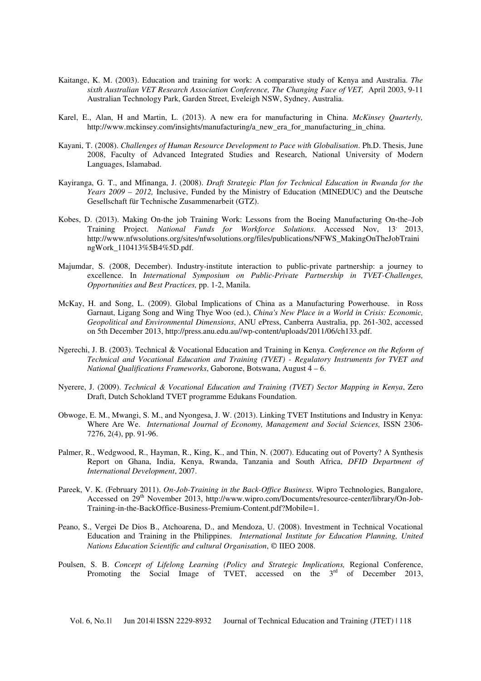- Kaitange, K. M. (2003). Education and training for work: A comparative study of Kenya and Australia. *The sixth Australian VET Research Association Conference, The Changing Face of VET,* April 2003, 9-11 Australian Technology Park, Garden Street, Eveleigh NSW, Sydney, Australia.
- Karel, E., Alan, H and Martin, L. (2013). A new era for manufacturing in China. *McKinsey Quarterly,* http://www.mckinsey.com/insights/manufacturing/a\_new\_era\_for\_manufacturing\_in\_china.
- Kayani, T. (2008). *Challenges of Human Resource Development to Pace with Globalisation*. Ph.D. Thesis, June 2008, Faculty of Advanced Integrated Studies and Research, National University of Modern Languages, Islamabad.
- Kayiranga, G. T., and Mfinanga, J. (2008). *Draft Strategic Plan for Technical Education in Rwanda for the Years 2009 – 2012,* Inclusive, Funded by the Ministry of Education (MINEDUC) and the Deutsche Gesellschaft für Technische Zusammenarbeit (GTZ).
- Kobes, D. (2013). Making On-the job Training Work: Lessons from the Boeing Manufacturing On-the–Job Training Project. *National Funds for Workforce Solutions*. Accessed Nov, 13, 2013, http://www.nfwsolutions.org/sites/nfwsolutions.org/files/publications/NFWS\_MakingOnTheJobTraini ngWork\_110413%5B4%5D.pdf.
- Majumdar, S. (2008, December). Industry-institute interaction to public-private partnership: a journey to excellence. In *International Symposium on Public-Private Partnership in TVET-Challenges, Opportunities and Best Practices,* pp. 1-2, Manila.
- McKay, H. and Song, L. (2009). Global Implications of China as a Manufacturing Powerhouse. in Ross Garnaut, Ligang Song and Wing Thye Woo (ed.), *China's New Place in a World in Crisis: Economic, Geopolitical and Environmental Dimensions*, ANU ePress, Canberra Australia, pp. 261-302, accessed on 5th December 2013, http://press.anu.edu.au//wp-content/uploads/2011/06/ch133.pdf.
- Ngerechi, J. B. (2003). Technical & Vocational Education and Training in Kenya. *Conference on the Reform of Technical and Vocational Education and Training (TVET) - Regulatory Instruments for TVET and National Qualifications Frameworks*, Gaborone, Botswana, August 4 – 6.
- Nyerere, J. (2009). *Technical & Vocational Education and Training (TVET) Sector Mapping in Kenya*, Zero Draft, Dutch Schokland TVET programme Edukans Foundation.
- Obwoge, E. M., Mwangi, S. M., and Nyongesa, J. W. (2013). Linking TVET Institutions and Industry in Kenya: Where Are We. *International Journal of Economy, Management and Social Sciences,* ISSN 2306- 7276, 2(4), pp. 91-96.
- Palmer, R., Wedgwood, R., Hayman, R., King, K., and Thin, N. (2007). Educating out of Poverty? A Synthesis Report on Ghana, India, Kenya, Rwanda, Tanzania and South Africa, *DFID Department of International Development*, 2007.
- Pareek, V. K. (February 2011). *On-Job-Training in the Back-Office Business.* Wipro Technologies, Bangalore, Accessed on 29<sup>th</sup> November 2013, http://www.wipro.com/Documents/resource-center/library/On-Job-Training-in-the-BackOffice-Business-Premium-Content.pdf?Mobile=1.
- Peano, S., Vergei De Dios B., Atchoarena, D., and Mendoza, U. (2008). Investment in Technical Vocational Education and Training in the Philippines. *International Institute for Education Planning, United Nations Education Scientific and cultural Organisation*,  $\circ$  IIEO 2008.
- Poulsen, S. B. *Concept of Lifelong Learning (Policy and Strategic Implications,* Regional Conference, Promoting the Social Image of TVET, accessed on the 3<sup>rd</sup> of December 2013,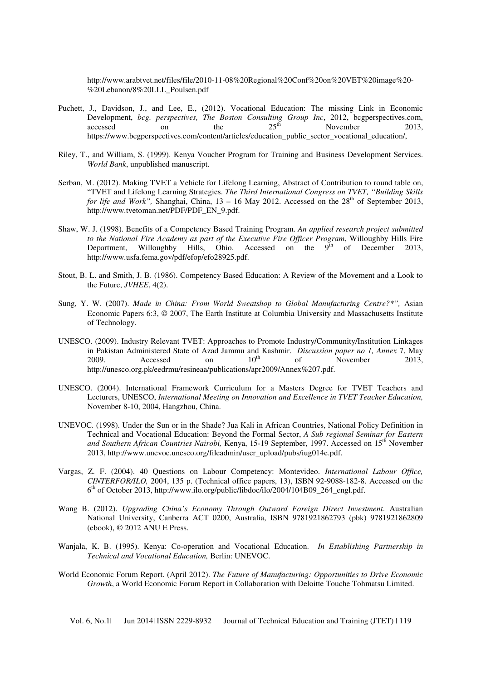http://www.arabtvet.net/files/file/2010-11-08%20Regional%20Conf%20on%20VET%20image%20- %20Lebanon/8%20LLL\_Poulsen.pdf

- Puchett, J., Davidson, J., and Lee, E., (2012). Vocational Education: The missing Link in Economic Development, *bcg. perspectives, The Boston Consulting Group Inc*, 2012, bcgperspectives.com, accessed on the 25<sup>th</sup> November 2013. accessed on the  $25<sup>th</sup>$  November 2013, https://www.bcgperspectives.com/content/articles/education\_public\_sector\_vocational\_education/,
- Riley, T., and William, S. (1999). Kenya Voucher Program for Training and Business Development Services. *World Bank*, unpublished manuscript.
- Serban, M. (2012). Making TVET a Vehicle for Lifelong Learning, Abstract of Contribution to round table on, "TVET and Lifelong Learning Strategies. *The Third International Congress on TVET, "Building Skills for life and Work"*, Shanghai, China,  $13 - 16$  May 2012. Accessed on the  $28<sup>th</sup>$  of September 2013, http://www.tvetoman.net/PDF/PDF\_EN\_9.pdf.
- Shaw, W. J. (1998). Benefits of a Competency Based Training Program. *An applied research project submitted to the National Fire Academy as part of the Executive Fire Officer Program*, Willoughby Hills Fire Department, Willoughby Hills, Ohio. Accessed on the  $9<sup>th</sup>$  of December 2013, http://www.usfa.fema.gov/pdf/efop/efo28925.pdf.
- Stout, B. L. and Smith, J. B. (1986). Competency Based Education: A Review of the Movement and a Look to the Future, *JVHEE*, 4(2).
- Sung, Y. W. (2007). *Made in China: From World Sweatshop to Global Manufacturing Centre?\*",* Asian Economic Papers 6:3,  $\circ$  2007, The Earth Institute at Columbia University and Massachusetts Institute of Technology.
- UNESCO. (2009). Industry Relevant TVET: Approaches to Promote Industry/Community/Institution Linkages in Pakistan Administered State of Azad Jammu and Kashmir. *Discussion paper no 1, Annex* 7, May 2009. Accessed on  $10^{th}$  of November 2013, http://unesco.org.pk/eedrmu/resineaa/publications/apr2009/Annex%207.pdf.
- UNESCO. (2004). International Framework Curriculum for a Masters Degree for TVET Teachers and Lecturers, UNESCO, *International Meeting on Innovation and Excellence in TVET Teacher Education,* November 8-10, 2004, Hangzhou, China.
- UNEVOC. (1998). Under the Sun or in the Shade? Jua Kali in African Countries, National Policy Definition in Technical and Vocational Education: Beyond the Formal Sector, *A Sub regional Seminar for Eastern*  and Southern African Countries Nairobi, Kenya, 15-19 September, 1997. Accessed on 15<sup>th</sup> November 2013, http://www.unevoc.unesco.org/fileadmin/user\_upload/pubs/iug014e.pdf.
- Vargas, Z. F. (2004). 40 Questions on Labour Competency: Montevideo. *International Labour Office, CINTERFOR/ILO,* 2004, 135 p. (Technical office papers, 13), ISBN 92-9088-182-8. Accessed on the 6 th of October 2013, http://www.ilo.org/public/libdoc/ilo/2004/104B09\_264\_engl.pdf.
- Wang B. (2012). *Upgrading China's Economy Through Outward Foreign Direct Investment*. Australian National University, Canberra ACT 0200, Australia, ISBN 9781921862793 (pbk) 9781921862809 (ebook), 2012 ANU E Press.
- Wanjala, K. B. (1995). Kenya: Co-operation and Vocational Education. *In Establishing Partnership in Technical and Vocational Education,* Berlin: UNEVOC.
- World Economic Forum Report. (April 2012). *The Future of Manufacturing: Opportunities to Drive Economic Growth*, a World Economic Forum Report in Collaboration with Deloitte Touche Tohmatsu Limited.